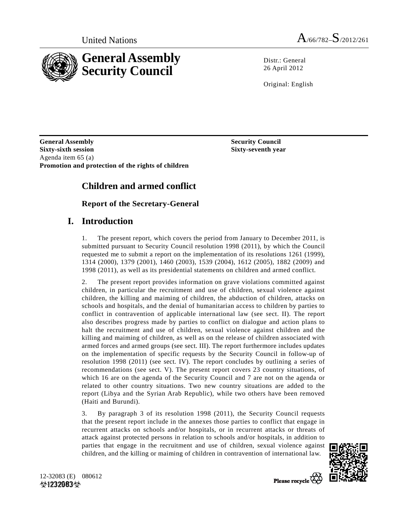

Distr · General 26 April 2012

Original: English

**General Assembly Security Council and Security Council is a security Council Sixty-sixth session Sixty-seventh year**  Agenda item 65 (a) **Promotion and protection of the rights of children** 

# **Children and armed conflict**

## **Report of the Secretary-General**

## **I. Introduction**

1. The present report, which covers the period from January to December 2011, is submitted pursuant to Security Council resolution 1998 (2011), by which the Council requested me to submit a report on the implementation of its resolutions 1261 (1999), 1314 (2000), 1379 (2001), 1460 (2003), 1539 (2004), 1612 (2005), 1882 (2009) and 1998 (2011), as well as its presidential statements on children and armed conflict.

2. The present report provides information on grave violations committed against children, in particular the recruitment and use of children, sexual violence against children, the killing and maiming of children, the abduction of children, attacks on schools and hospitals, and the denial of humanitarian access to children by parties to conflict in contravention of applicable international law (see sect. II). The report also describes progress made by parties to conflict on dialogue and action plans to halt the recruitment and use of children, sexual violence against children and the killing and maiming of children, as well as on the release of children associated with armed forces and armed groups (see sect. III). The report furthermore includes updates on the implementation of specific requests by the Security Council in follow-up of resolution 1998 (2011) (see sect. IV). The report concludes by outlining a series of recommendations (see sect. V). The present report covers 23 country situations, of which 16 are on the agenda of the Security Council and 7 are not on the agenda or related to other country situations. Two new country situations are added to the report (Libya and the Syrian Arab Republic), while two others have been removed (Haiti and Burundi).

3. By paragraph 3 of its resolution 1998 (2011), the Security Council requests that the present report include in the annexes those parties to conflict that engage in recurrent attacks on schools and/or hospitals, or in recurrent attacks or threats of attack against protected persons in relation to schools and/or hospitals, in addition to parties that engage in the recruitment and use of children, sexual violence against children, and the killing or maiming of children in contravention of international law.



12-32083 (E) 080612  $\circ$ 1232083 $\circ$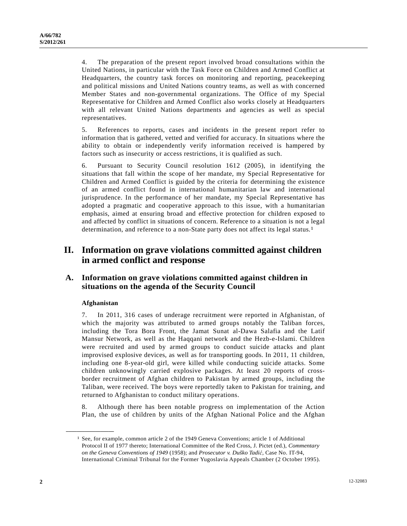4. The preparation of the present report involved broad consultations within the United Nations, in particular with the Task Force on Children and Armed Conflict at Headquarters, the country task forces on monitoring and reporting, peacekeeping and political missions and United Nations country teams, as well as with concerned Member States and non-governmental organizations. The Office of my Special Representative for Children and Armed Conflict also works closely at Headquarters with all relevant United Nations departments and agencies as well as special representatives.

5. References to reports, cases and incidents in the present report refer to information that is gathered, vetted and verified for accuracy. In situations where the ability to obtain or independently verify information received is hampered by factors such as insecurity or access restrictions, it is qualified as such.

6. Pursuant to Security Council resolution 1612 (2005), in identifying the situations that fall within the scope of her mandate, my Special Representative for Children and Armed Conflict is guided by the criteria for determining the existence of an armed conflict found in international humanitarian law and international jurisprudence. In the performance of her mandate, my Special Representative has adopted a pragmatic and cooperative approach to this issue, with a humanitarian emphasis, aimed at ensuring broad and effective protection for children exposed to and affected by conflict in situations of concern. Reference to a situation is not a legal determination, and reference to a non-State party does not affect its legal status.1

## **II. Information on grave violations committed against children in armed conflict and response**

## **A. Information on grave violations committed against children in situations on the agenda of the Security Council**

## **Afghanistan**

**\_\_\_\_\_\_\_\_\_\_\_\_\_\_\_\_\_\_** 

7. In 2011, 316 cases of underage recruitment were reported in Afghanistan, of which the majority was attributed to armed groups notably the Taliban forces, including the Tora Bora Front, the Jamat Sunat al-Dawa Salafia and the Latif Mansur Network, as well as the Haqqani network and the Hezb-e-Islami. Children were recruited and used by armed groups to conduct suicide attacks and plant improvised explosive devices, as well as for transporting goods. In 2011, 11 children, including one 8-year-old girl, were killed while conducting suicide attacks. Some children unknowingly carried explosive packages. At least 20 reports of crossborder recruitment of Afghan children to Pakistan by armed groups, including the Taliban, were received. The boys were reportedly taken to Pakistan for training, and returned to Afghanistan to conduct military operations.

8. Although there has been notable progress on implementation of the Action Plan, the use of children by units of the Afghan National Police and the Afghan

<sup>1</sup> See, for example, common article 2 of the 1949 Geneva Conventions; article 1 of Additional Protocol II of 1977 thereto; International Committee of the Red Cross, J. Pictet (ed.), *Commentary on the Geneva Conventions of 1949* (1958); and *Prosecutor v. Duško Tadi*ć, Case No. IT-94, International Criminal Tribunal for the Former Yugoslavia Appeals Chamber (2 October 1995).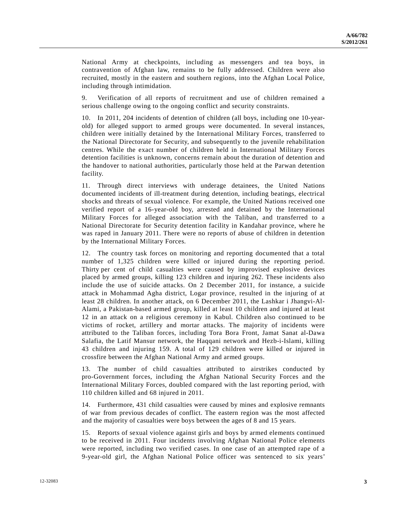National Army at checkpoints, including as messengers and tea boys, in contravention of Afghan law, remains to be fully addressed. Children were also recruited, mostly in the eastern and southern regions, into the Afghan Local Police, including through intimidation.

9. Verification of all reports of recruitment and use of children remained a serious challenge owing to the ongoing conflict and security constraints.

10. In 2011, 204 incidents of detention of children (all boys, including one 10-yearold) for alleged support to armed groups were documented. In several instances, children were initially detained by the International Military Forces, transferred to the National Directorate for Security, and subsequently to the juvenile rehabilitation centres. While the exact number of children held in International Military Forces detention facilities is unknown, concerns remain about the duration of detention and the handover to national authorities, particularly those held at the Parwan detention facility.

11. Through direct interviews with underage detainees, the United Nations documented incidents of ill-treatment during detention, including beatings, electrical shocks and threats of sexual violence. For example, the United Nations received one verified report of a 16-year-old boy, arrested and detained by the International Military Forces for alleged association with the Taliban, and transferred to a National Directorate for Security detention facility in Kandahar province, where he was raped in January 2011. There were no reports of abuse of children in detention by the International Military Forces.

12. The country task forces on monitoring and reporting documented that a total number of 1,325 children were killed or injured during the reporting period. Thirty per cent of child casualties were caused by improvised explosive devices placed by armed groups, killing 123 children and injuring 262. These incidents also include the use of suicide attacks. On 2 December 2011, for instance, a suicide attack in Mohammad Agha district, Logar province, resulted in the injuring of at least 28 children. In another attack, on 6 December 2011, the Lashkar i Jhangvi-Al-Alami, a Pakistan-based armed group, killed at least 10 children and injured at least 12 in an attack on a religious ceremony in Kabul. Children also continued to be victims of rocket, artillery and mortar attacks. The majority of incidents were attributed to the Taliban forces, including Tora Bora Front, Jamat Sanat al-Dawa Salafia, the Latif Mansur network, the Haqqani network and Hezb-i-Islami, killing 43 children and injuring 159. A total of 129 children were killed or injured in crossfire between the Afghan National Army and armed groups.

13. The number of child casualties attributed to airstrikes conducted by pro-Government forces, including the Afghan National Security Forces and the International Military Forces, doubled compared with the last reporting period, with 110 children killed and 68 injured in 2011.

14. Furthermore, 431 child casualties were caused by mines and explosive remnants of war from previous decades of conflict. The eastern region was the most affected and the majority of casualties were boys between the ages of 8 and 15 years.

15. Reports of sexual violence against girls and boys by armed elements continued to be received in 2011. Four incidents involving Afghan National Police elements were reported, including two verified cases. In one case of an attempted rape of a 9-year-old girl, the Afghan National Police officer was sentenced to six years'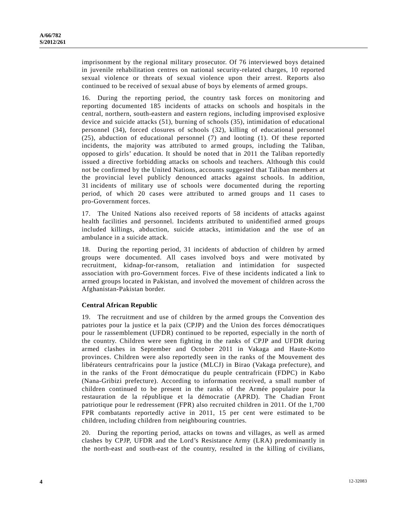imprisonment by the regional military prosecutor. Of 76 interviewed boys detained in juvenile rehabilitation centres on national security-related charges, 10 reported sexual violence or threats of sexual violence upon their arrest. Reports also continued to be received of sexual abuse of boys by elements of armed groups.

16. During the reporting period, the country task forces on monitoring and reporting documented 185 incidents of attacks on schools and hospitals in the central, northern, south-eastern and eastern regions, including improvised explosive device and suicide attacks (51), burning of schools (35), intimidation of educational personnel (34), forced closures of schools (32), killing of educational personnel (25), abduction of educational personnel (7) and looting (1). Of these reported incidents, the majority was attributed to armed groups, including the Taliban, opposed to girls' education. It should be noted that in 2011 the Taliban reportedly issued a directive forbidding attacks on schools and teachers. Although this could not be confirmed by the United Nations, accounts suggested that Taliban members at the provincial level publicly denounced attacks against schools. In addition, 31 incidents of military use of schools were documented during the reporting period, of which 20 cases were attributed to armed groups and 11 cases to pro-Government forces.

17. The United Nations also received reports of 58 incidents of attacks against health facilities and personnel. Incidents attributed to unidentified armed groups included killings, abduction, suicide attacks, intimidation and the use of an ambulance in a suicide attack.

18. During the reporting period, 31 incidents of abduction of children by armed groups were documented. All cases involved boys and were motivated by recruitment, kidnap-for-ransom, retaliation and intimidation for suspected association with pro-Government forces. Five of these incidents indicated a link to armed groups located in Pakistan, and involved the movement of children across the Afghanistan-Pakistan border.

## **Central African Republic**

19. The recruitment and use of children by the armed groups the Convention des patriotes pour la justice et la paix (CPJP) and the Union des forces démocratiques pour le rassemblement (UFDR) continued to be reported, especially in the north of the country. Children were seen fighting in the ranks of CPJP and UFDR during armed clashes in September and October 2011 in Vakaga and Haute-Kotto provinces. Children were also reportedly seen in the ranks of the Mouvement des libérateurs centrafricains pour la justice (MLCJ) in Birao (Vakaga prefecture), and in the ranks of the Front démocratique du peuple centrafricain (FDPC) in Kabo (Nana-Gribizi prefecture). According to information received, a small number of children continued to be present in the ranks of the Armée populaire pour la restauration de la république et la démocratie (APRD). The Chadian Front patriotique pour le redressement (FPR) also recruited children in 2011. Of the 1,700 FPR combatants reportedly active in 2011, 15 per cent were estimated to be children, including children from neighbouring countries.

20. During the reporting period, attacks on towns and villages, as well as armed clashes by CPJP, UFDR and the Lord's Resistance Army (LRA) predominantly in the north-east and south-east of the country, resulted in the killing of civilians,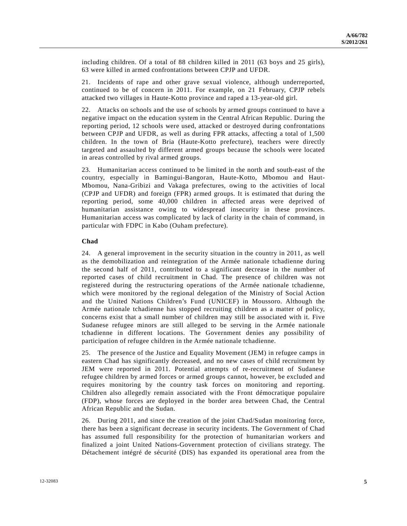including children. Of a total of 88 children killed in 2011 (63 boys and 25 girls), 63 were killed in armed confrontations between CPJP and UFDR.

21. Incidents of rape and other grave sexual violence, although underreported, continued to be of concern in 2011. For example, on 21 February, CPJP rebels attacked two villages in Haute-Kotto province and raped a 13-year-old girl.

22. Attacks on schools and the use of schools by armed groups continued to have a negative impact on the education system in the Central African Republic. During the reporting period, 12 schools were used, attacked or destroyed during confrontations between CPJP and UFDR, as well as during FPR attacks, affecting a total of 1,500 children. In the town of Bria (Haute-Kotto prefecture), teachers were directly targeted and assaulted by different armed groups because the schools were located in areas controlled by rival armed groups.

23. Humanitarian access continued to be limited in the north and south-east of the country, especially in Bamingui-Bangoran, Haute-Kotto, Mbomou and Haut-Mbomou, Nana-Gribizi and Vakaga prefectures, owing to the activities of local (CPJP and UFDR) and foreign (FPR) armed groups. It is estimated that during the reporting period, some 40,000 children in affected areas were deprived of humanitarian assistance owing to widespread insecurity in these provinces. Humanitarian access was complicated by lack of clarity in the chain of command, in particular with FDPC in Kabo (Ouham prefecture).

## **Chad**

24. A general improvement in the security situation in the country in 2011, as well as the demobilization and reintegration of the Armée nationale tchadienne during the second half of 2011, contributed to a significant decrease in the number of reported cases of child recruitment in Chad. The presence of children was not registered during the restructuring operations of the Armée nationale tchadienne, which were monitored by the regional delegation of the Ministry of Social Action and the United Nations Children's Fund (UNICEF) in Moussoro. Although the Armée nationale tchadienne has stopped recruiting children as a matter of policy, concerns exist that a small number of children may still be associated with it. Five Sudanese refugee minors are still alleged to be serving in the Armée nationale tchadienne in different locations. The Government denies any possibility of participation of refugee children in the Armée nationale tchadienne.

25. The presence of the Justice and Equality Movement (JEM) in refugee camps in eastern Chad has significantly decreased, and no new cases of child recruitment by JEM were reported in 2011. Potential attempts of re-recruitment of Sudanese refugee children by armed forces or armed groups cannot, however, be excluded and requires monitoring by the country task forces on monitoring and reporting. Children also allegedly remain associated with the Front démocratique populaire (FDP), whose forces are deployed in the border area between Chad, the Central African Republic and the Sudan.

26. During 2011, and since the creation of the joint Chad/Sudan monitoring force, there has been a significant decrease in security incidents. The Government of Chad has assumed full responsibility for the protection of humanitarian workers and finalized a joint United Nations-Government protection of civilians strategy. The Détachement intégré de sécurité (DIS) has expanded its operational area from the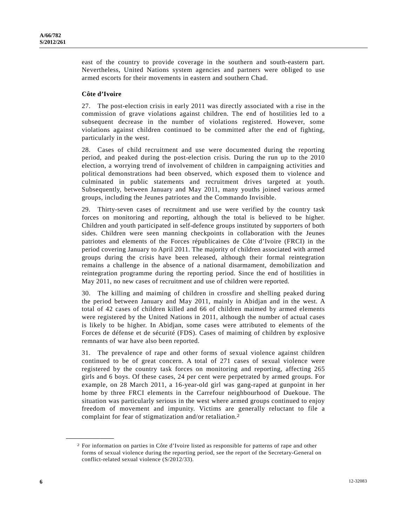east of the country to provide coverage in the southern and south-eastern part. Nevertheless, United Nations system agencies and partners were obliged to use armed escorts for their movements in eastern and southern Chad.

#### **Côte d'Ivoire**

27. The post-election crisis in early 2011 was directly associated with a rise in the commission of grave violations against children. The end of hostilities led to a subsequent decrease in the number of violations registered. However, some violations against children continued to be committed after the end of fighting, particularly in the west.

28. Cases of child recruitment and use were documented during the reporting period, and peaked during the post-election crisis. During the run up to the 2010 election, a worrying trend of involvement of children in campaigning activities and political demonstrations had been observed, which exposed them to violence and culminated in public statements and recruitment drives targeted at youth. Subsequently, between January and May 2011, many youths joined various armed groups, including the Jeunes patriotes and the Commando Invisible.

29. Thirty-seven cases of recruitment and use were verified by the country task forces on monitoring and reporting, although the total is believed to be higher. Children and youth participated in self-defence groups instituted by supporters of both sides. Children were seen manning checkpoints in collaboration with the Jeunes patriotes and elements of the Forces républicaines de Côte d'Ivoire (FRCI) in the period covering January to April 2011. The majority of children associated with armed groups during the crisis have been released, although their formal reintegration remains a challenge in the absence of a national disarmament, demobilization and reintegration programme during the reporting period. Since the end of hostilities in May 2011, no new cases of recruitment and use of children were reported.

30. The killing and maiming of children in crossfire and shelling peaked during the period between January and May 2011, mainly in Abidjan and in the west. A total of 42 cases of children killed and 66 of children maimed by armed elements were registered by the United Nations in 2011, although the number of actual cases is likely to be higher. In Abidjan, some cases were attributed to elements of the Forces de défense et de sécurité (FDS). Cases of maiming of children by explosive remnants of war have also been reported.

31. The prevalence of rape and other forms of sexual violence against children continued to be of great concern. A total of 271 cases of sexual violence were registered by the country task forces on monitoring and reporting, affecting 265 girls and 6 boys. Of these cases, 24 per cent were perpetrated by armed groups. For example, on 28 March 2011, a 16-year-old girl was gang-raped at gunpoint in her home by three FRCI elements in the Carrefour neighbourhood of Duekoue. The situation was particularly serious in the west where armed groups continued to enjoy freedom of movement and impunity. Victims are generally reluctant to file a complaint for fear of stigmatization and/or retaliation.2

**\_\_\_\_\_\_\_\_\_\_\_\_\_\_\_\_\_\_** 

<sup>2</sup> For information on parties in Côte d'Ivoire listed as responsible for patterns of rape and other forms of sexual violence during the reporting period, see the report of the Secretary-General on conflict-related sexual violence (S/2012/33).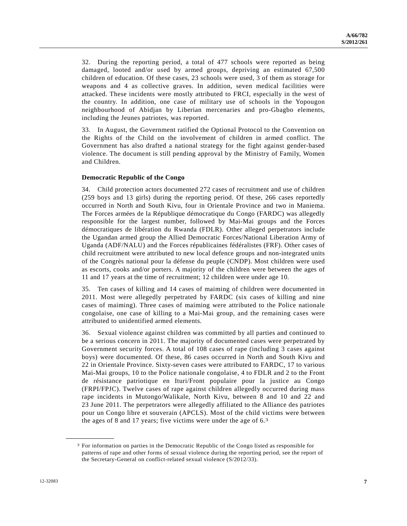32. During the reporting period, a total of 477 schools were reported as being damaged, looted and/or used by armed groups, depriving an estimated 67,500 children of education. Of these cases, 23 schools were used, 3 of them as storage for weapons and 4 as collective graves. In addition, seven medical facilities were attacked. These incidents were mostly attributed to FRCI, especially in the west of the country. In addition, one case of military use of schools in the Yopougon neighbourhood of Abidjan by Liberian mercenaries and pro-Gbagbo elements, including the Jeunes patriotes, was reported.

33. In August, the Government ratified the Optional Protocol to the Convention on the Rights of the Child on the involvement of children in armed conflict. The Government has also drafted a national strategy for the fight against gender-based violence. The document is still pending approval by the Ministry of Family, Women and Children.

#### **Democratic Republic of the Congo**

34. Child protection actors documented 272 cases of recruitment and use of children (259 boys and 13 girls) during the reporting period. Of these, 266 cases reportedly occurred in North and South Kivu, four in Orientale Province and two in Maniema. The Forces armées de la République démocratique du Congo (FARDC) was allegedly responsible for the largest number, followed by Mai-Mai groups and the Forces démocratiques de libération du Rwanda (FDLR). Other alleged perpetrators include the Ugandan armed group the Allied Democratic Forces/National Liberation Army of Uganda (ADF/NALU) and the Forces républicaines fédéralistes (FRF). Other cases of child recruitment were attributed to new local defence groups and non-integrated units of the Congrès national pour la défense du peuple (CNDP). Most children were used as escorts, cooks and/or porters. A majority of the children were between the ages of 11 and 17 years at the time of recruitment; 12 children were under age 10.

35. Ten cases of killing and 14 cases of maiming of children were documented in 2011. Most were allegedly perpetrated by FARDC (six cases of killing and nine cases of maiming). Three cases of maiming were attributed to the Police nationale congolaise, one case of killing to a Mai-Mai group, and the remaining cases were attributed to unidentified armed elements.

36. Sexual violence against children was committed by all parties and continued to be a serious concern in 2011. The majority of documented cases were perpetrated by Government security forces. A total of 108 cases of rape (including 3 cases against boys) were documented. Of these, 86 cases occurred in North and South Kivu and 22 in Orientale Province. Sixty-seven cases were attributed to FARDC, 17 to various Mai-Mai groups, 10 to the Police nationale congolaise, 4 to FDLR and 2 to the Front de résistance patriotique en Ituri/Front populaire pour la justice au Congo (FRPI/FPJC). Twelve cases of rape against children allegedly occurred during mass rape incidents in Mutongo/Walikale, North Kivu, between 8 and 10 and 22 and 23 June 2011. The perpetrators were allegedly affiliated to the Alliance des patriotes pour un Congo libre et souverain (APCLS). Most of the child victims were between the ages of 8 and 17 years; five victims were under the age of 6.3

**\_\_\_\_\_\_\_\_\_\_\_\_\_\_\_\_\_\_** 

<sup>3</sup> For information on parties in the Democratic Republic of the Congo listed as responsible for patterns of rape and other forms of sexual violence during the reporting period, see the report of the Secretary-General on conflict-related sexual violence (S/2012/33).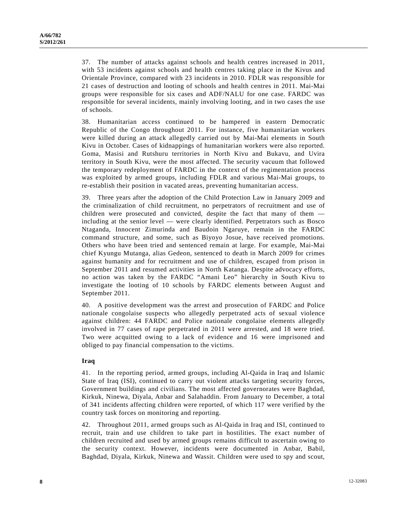37. The number of attacks against schools and health centres increased in 2011, with 53 incidents against schools and health centres taking place in the Kivus and Orientale Province, compared with 23 incidents in 2010. FDLR was responsible for 21 cases of destruction and looting of schools and health centres in 2011. Mai-Mai groups were responsible for six cases and ADF/NALU for one case. FARDC was responsible for several incidents, mainly involving looting, and in two cases the use of schools.

38. Humanitarian access continued to be hampered in eastern Democratic Republic of the Congo throughout 2011. For instance, five humanitarian workers were killed during an attack allegedly carried out by Mai-Mai elements in South Kivu in October. Cases of kidnappings of humanitarian workers were also reported. Goma, Masisi and Rutshuru territories in North Kivu and Bukavu, and Uvira territory in South Kivu, were the most affected. The security vacuum that followed the temporary redeployment of FARDC in the context of the regimentation process was exploited by armed groups, including FDLR and various Mai-Mai groups, to re-establish their position in vacated areas, preventing humanitarian access.

39. Three years after the adoption of the Child Protection Law in January 2009 and the criminalization of child recruitment, no perpetrators of recruitment and use of children were prosecuted and convicted, despite the fact that many of them including at the senior level — were clearly identified. Perpetrators such as Bosco Ntaganda, Innocent Zimurinda and Baudoin Ngaruye, remain in the FARDC command structure, and some, such as Biyoyo Josue, have received promotions. Others who have been tried and sentenced remain at large. For example, Mai-Mai chief Kyungu Mutanga, alias Gedeon, sentenced to death in March 2009 for crimes against humanity and for recruitment and use of children, escaped from prison in September 2011 and resumed activities in North Katanga. Despite advocacy efforts, no action was taken by the FARDC "Amani Leo" hierarchy in South Kivu to investigate the looting of 10 schools by FARDC elements between August and September 2011.

40. A positive development was the arrest and prosecution of FARDC and Police nationale congolaise suspects who allegedly perpetrated acts of sexual violence against children: 44 FARDC and Police nationale congolaise elements allegedly involved in 77 cases of rape perpetrated in 2011 were arrested, and 18 were tried. Two were acquitted owing to a lack of evidence and 16 were imprisoned and obliged to pay financial compensation to the victims.

## **Iraq**

41. In the reporting period, armed groups, including Al-Qaida in Iraq and Islamic State of Iraq (ISI), continued to carry out violent attacks targeting security forces, Government buildings and civilians. The most affected governorates were Baghdad, Kirkuk, Ninewa, Diyala, Anbar and Salahaddin. From January to December, a total of 341 incidents affecting children were reported, of which 117 were verified by the country task forces on monitoring and reporting.

42. Throughout 2011, armed groups such as Al-Qaida in Iraq and ISI, continued to recruit, train and use children to take part in hostilities. The exact number of children recruited and used by armed groups remains difficult to ascertain owing to the security context. However, incidents were documented in Anbar, Babil, Baghdad, Diyala, Kirkuk, Ninewa and Wassit. Children were used to spy and scout,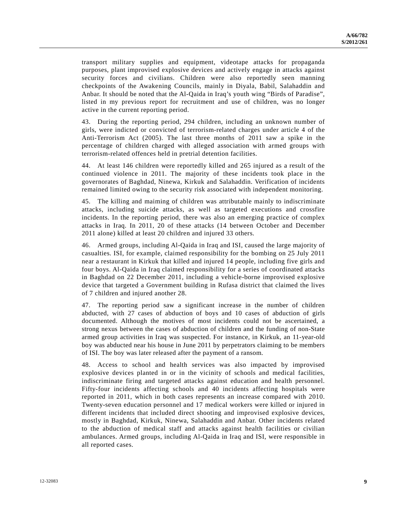transport military supplies and equipment, videotape attacks for propaganda purposes, plant improvised explosive devices and actively engage in attacks against security forces and civilians. Children were also reportedly seen manning checkpoints of the Awakening Councils, mainly in Diyala, Babil, Salahaddin and Anbar. It should be noted that the Al-Qaida in Iraq's youth wing "Birds of Paradise", listed in my previous report for recruitment and use of children, was no longer active in the current reporting period.

43. During the reporting period, 294 children, including an unknown number of girls, were indicted or convicted of terrorism-related charges under article 4 of the Anti-Terrorism Act (2005). The last three months of 2011 saw a spike in the percentage of children charged with alleged association with armed groups with terrorism-related offences held in pretrial detention facilities.

44. At least 146 children were reportedly killed and 265 injured as a result of the continued violence in 2011. The majority of these incidents took place in the governorates of Baghdad, Ninewa, Kirkuk and Salahaddin. Verification of incidents remained limited owing to the security risk associated with independent monitoring.

45. The killing and maiming of children was attributable mainly to indiscriminate attacks, including suicide attacks, as well as targeted executions and crossfire incidents. In the reporting period, there was also an emerging practice of complex attacks in Iraq. In 2011, 20 of these attacks (14 between October and December 2011 alone) killed at least 20 children and injured 33 others.

46. Armed groups, including Al-Qaida in Iraq and ISI, caused the large majority of casualties. ISI, for example, claimed responsibility for the bombing on 25 July 2011 near a restaurant in Kirkuk that killed and injured 14 people, including five girls and four boys. Al-Qaida in Iraq claimed responsibility for a series of coordinated attacks in Baghdad on 22 December 2011, including a vehicle-borne improvised explosive device that targeted a Government building in Rufasa district that claimed the lives of 7 children and injured another 28.

47. The reporting period saw a significant increase in the number of children abducted, with 27 cases of abduction of boys and 10 cases of abduction of girls documented. Although the motives of most incidents could not be ascertained, a strong nexus between the cases of abduction of children and the funding of non-State armed group activities in Iraq was suspected. For instance, in Kirkuk, an 11-year-old boy was abducted near his house in June 2011 by perpetrators claiming to be members of ISI. The boy was later released after the payment of a ransom.

48. Access to school and health services was also impacted by improvised explosive devices planted in or in the vicinity of schools and medical facilities, indiscriminate firing and targeted attacks against education and health personnel. Fifty-four incidents affecting schools and 40 incidents affecting hospitals were reported in 2011, which in both cases represents an increase compared with 2010. Twenty-seven education personnel and 17 medical workers were killed or injured in different incidents that included direct shooting and improvised explosive devices, mostly in Baghdad, Kirkuk, Ninewa, Salahaddin and Anbar. Other incidents related to the abduction of medical staff and attacks against health facilities or civilian ambulances. Armed groups, including Al-Qaida in Iraq and ISI, were responsible in all reported cases.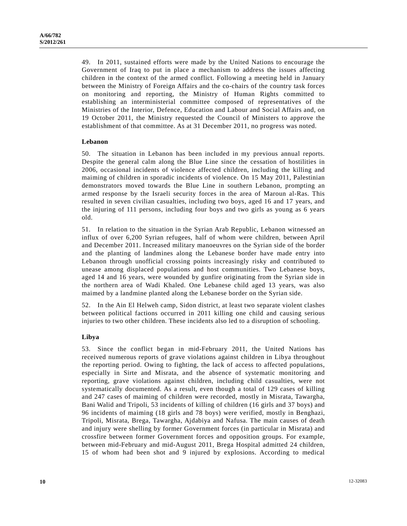49. In 2011, sustained efforts were made by the United Nations to encourage the Government of Iraq to put in place a mechanism to address the issues affecting children in the context of the armed conflict. Following a meeting held in January between the Ministry of Foreign Affairs and the co-chairs of the country task forces on monitoring and reporting, the Ministry of Human Rights committed to establishing an interministerial committee composed of representatives of the Ministries of the Interior, Defence, Education and Labour and Social Affairs and, on 19 October 2011, the Ministry requested the Council of Ministers to approve the establishment of that committee. As at 31 December 2011, no progress was noted.

#### **Lebanon**

50. The situation in Lebanon has been included in my previous annual reports. Despite the general calm along the Blue Line since the cessation of hostilities in 2006, occasional incidents of violence affected children, including the killing and maiming of children in sporadic incidents of violence. On 15 May 2011, Palestinian demonstrators moved towards the Blue Line in southern Lebanon, prompting an armed response by the Israeli security forces in the area of Maroun al-Ras. This resulted in seven civilian casualties, including two boys, aged 16 and 17 years, and the injuring of 111 persons, including four boys and two girls as young as 6 years old.

51. In relation to the situation in the Syrian Arab Republic, Lebanon witnessed an influx of over 6,200 Syrian refugees, half of whom were children, between April and December 2011. Increased military manoeuvres on the Syrian side of the border and the planting of landmines along the Lebanese border have made entry into Lebanon through unofficial crossing points increasingly risky and contributed to unease among displaced populations and host communities. Two Lebanese boys, aged 14 and 16 years, were wounded by gunfire originating from the Syrian side in the northern area of Wadi Khaled. One Lebanese child aged 13 years, was also maimed by a landmine planted along the Lebanese border on the Syrian side.

52. In the Ain El Helweh camp, Sidon district, at least two separate violent clashes between political factions occurred in 2011 killing one child and causing serious injuries to two other children. These incidents also led to a disruption of schooling.

#### **Libya**

53. Since the conflict began in mid-February 2011, the United Nations has received numerous reports of grave violations against children in Libya throughout the reporting period. Owing to fighting, the lack of access to affected populations, especially in Sirte and Misrata, and the absence of systematic monitoring and reporting, grave violations against children, including child casualties, were not systematically documented. As a result, even though a total of 129 cases of killing and 247 cases of maiming of children were recorded, mostly in Misrata, Tawargha, Bani Walid and Tripoli, 53 incidents of killing of children (16 girls and 37 boys) and 96 incidents of maiming (18 girls and 78 boys) were verified, mostly in Benghazi, Tripoli, Misrata, Brega, Tawargha, Ajdabiya and Nafusa. The main causes of death and injury were shelling by former Government forces (in particular in Misrata) and crossfire between former Government forces and opposition groups. For example, between mid-February and mid-August 2011, Brega Hospital admitted 24 children, 15 of whom had been shot and 9 injured by explosions. According to medical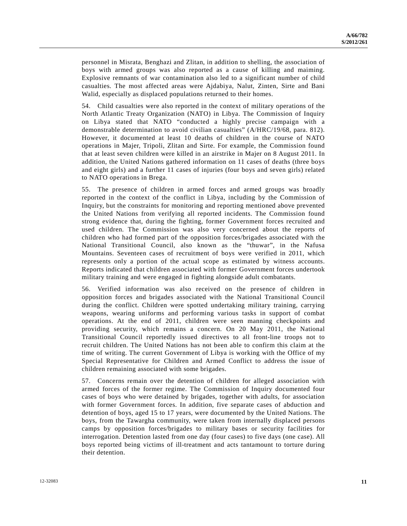personnel in Misrata, Benghazi and Zlitan, in addition to shelling, the association of boys with armed groups was also reported as a cause of killing and maiming. Explosive remnants of war contamination also led to a significant number of child casualties. The most affected areas were Ajdabiya, Nalut, Zinten, Sirte and Bani Walid, especially as displaced populations returned to their homes.

54. Child casualties were also reported in the context of military operations of the North Atlantic Treaty Organization (NATO) in Libya. The Commission of Inquiry on Libya stated that NATO "conducted a highly precise campaign with a demonstrable determination to avoid civilian casualties" (A/HRC/19/68, para. 812). However, it documented at least 10 deaths of children in the course of NATO operations in Majer, Tripoli, Zlitan and Sirte. For example, the Commission found that at least seven children were killed in an airstrike in Majer on 8 August 2011. In addition, the United Nations gathered information on 11 cases of deaths (three boys and eight girls) and a further 11 cases of injuries (four boys and seven girls) related to NATO operations in Brega.

55. The presence of children in armed forces and armed groups was broadly reported in the context of the conflict in Libya, including by the Commission of Inquiry, but the constraints for monitoring and reporting mentioned above prevented the United Nations from verifying all reported incidents. The Commission found strong evidence that, during the fighting, former Government forces recruited and used children. The Commission was also very concerned about the reports of children who had formed part of the opposition forces/brigades associated with the National Transitional Council, also known as the "thuwar", in the Nafusa Mountains. Seventeen cases of recruitment of boys were verified in 2011, which represents only a portion of the actual scope as estimated by witness accounts. Reports indicated that children associated with former Government forces undertook military training and were engaged in fighting alongside adult combatants.

56. Verified information was also received on the presence of children in opposition forces and brigades associated with the National Transitional Council during the conflict. Children were spotted undertaking military training, carrying weapons, wearing uniforms and performing various tasks in support of combat operations. At the end of 2011, children were seen manning checkpoints and providing security, which remains a concern. On 20 May 2011, the National Transitional Council reportedly issued directives to all front-line troops not to recruit children. The United Nations has not been able to confirm this claim at the time of writing. The current Government of Libya is working with the Office of my Special Representative for Children and Armed Conflict to address the issue of children remaining associated with some brigades.

57. Concerns remain over the detention of children for alleged association with armed forces of the former regime. The Commission of Inquiry documented four cases of boys who were detained by brigades, together with adults, for association with former Government forces. In addition, five separate cases of abduction and detention of boys, aged 15 to 17 years, were documented by the United Nations. The boys, from the Tawargha community, were taken from internally displaced persons camps by opposition forces/brigades to military bases or security facilities for interrogation. Detention lasted from one day (four cases) to five days (one case). All boys reported being victims of ill-treatment and acts tantamount to torture during their detention.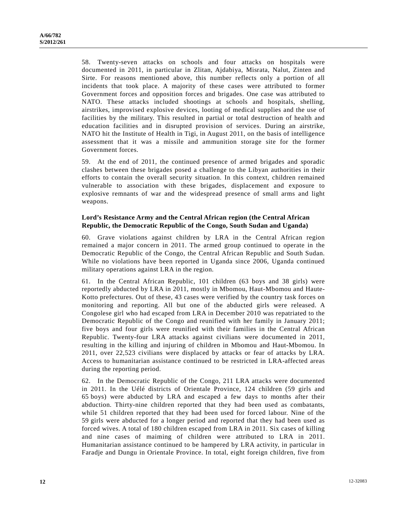58. Twenty-seven attacks on schools and four attacks on hospitals were documented in 2011, in particular in Zlitan, Ajdabiya, Misrata, Nalut, Zinten and Sirte. For reasons mentioned above, this number reflects only a portion of all incidents that took place. A majority of these cases were attributed to former Government forces and opposition forces and brigades. One case was attributed to NATO. These attacks included shootings at schools and hospitals, shelling, airstrikes, improvised explosive devices, looting of medical supplies and the use of facilities by the military. This resulted in partial or total destruction of health and education facilities and in disrupted provision of services. During an airstrike, NATO hit the Institute of Health in Tigi, in August 2011, on the basis of intelligence assessment that it was a missile and ammunition storage site for the former Government forces.

59. At the end of 2011, the continued presence of armed brigades and sporadic clashes between these brigades posed a challenge to the Libyan authorities in their efforts to contain the overall security situation. In this context, children remained vulnerable to association with these brigades, displacement and exposure to explosive remnants of war and the widespread presence of small arms and light weapons.

## **Lord's Resistance Army and the Central African region (the Central African Republic, the Democratic Republic of the Congo, South Sudan and Uganda)**

60. Grave violations against children by LRA in the Central African region remained a major concern in 2011. The armed group continued to operate in the Democratic Republic of the Congo, the Central African Republic and South Sudan. While no violations have been reported in Uganda since 2006, Uganda continued military operations against LRA in the region.

61. In the Central African Republic, 101 children (63 boys and 38 girls) were reportedly abducted by LRA in 2011, mostly in Mbomou, Haut-Mbomou and Haute-Kotto prefectures. Out of these, 43 cases were verified by the country task forces on monitoring and reporting. All but one of the abducted girls were released. A Congolese girl who had escaped from LRA in December 2010 was repatriated to the Democratic Republic of the Congo and reunified with her family in January 2011; five boys and four girls were reunified with their families in the Central African Republic. Twenty-four LRA attacks against civilians were documented in 2011, resulting in the killing and injuring of children in Mbomou and Haut-Mbomou. In 2011, over 22,523 civilians were displaced by attacks or fear of attacks by LRA. Access to humanitarian assistance continued to be restricted in LRA-affected areas during the reporting period.

62. In the Democratic Republic of the Congo, 211 LRA attacks were documented in 2011. In the Uélé districts of Orientale Province, 124 children (59 girls and 65 boys) were abducted by LRA and escaped a few days to months after their abduction. Thirty-nine children reported that they had been used as combatants, while 51 children reported that they had been used for forced labour. Nine of the 59 girls were abducted for a longer period and reported that they had been used as forced wives. A total of 180 children escaped from LRA in 2011. Six cases of killing and nine cases of maiming of children were attributed to LRA in 2011. Humanitarian assistance continued to be hampered by LRA activity, in particular in Faradje and Dungu in Orientale Province. In total, eight foreign children, five from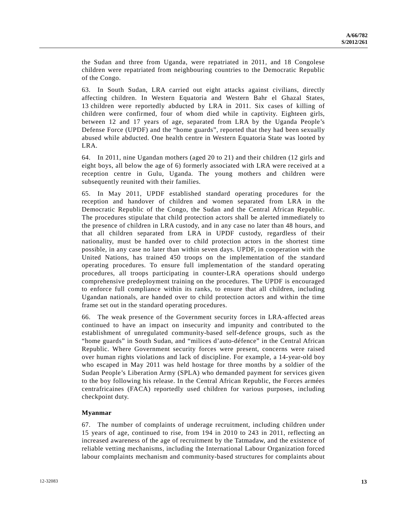the Sudan and three from Uganda, were repatriated in 2011, and 18 Congolese children were repatriated from neighbouring countries to the Democratic Republic of the Congo.

63. In South Sudan, LRA carried out eight attacks against civilians, directly affecting children. In Western Equatoria and Western Bahr el Ghazal States, 13 children were reportedly abducted by LRA in 2011. Six cases of killing of children were confirmed, four of whom died while in captivity. Eighteen girls, between 12 and 17 years of age, separated from LRA by the Uganda People's Defense Force (UPDF) and the "home guards", reported that they had been sexually abused while abducted. One health centre in Western Equatoria State was looted by LRA.

64. In 2011, nine Ugandan mothers (aged 20 to 21) and their children (12 girls and eight boys, all below the age of 6) formerly associated with LRA were received at a reception centre in Gulu, Uganda. The young mothers and children were subsequently reunited with their families.

65. In May 2011, UPDF established standard operating procedures for the reception and handover of children and women separated from LRA in the Democratic Republic of the Congo, the Sudan and the Central African Republic. The procedures stipulate that child protection actors shall be alerted immediately to the presence of children in LRA custody, and in any case no later than 48 hours, and that all children separated from LRA in UPDF custody, regardless of their nationality, must be handed over to child protection actors in the shortest time possible, in any case no later than within seven days. UPDF, in cooperation with the United Nations, has trained 450 troops on the implementation of the standard operating procedures. To ensure full implementation of the standard operating procedures, all troops participating in counter-LRA operations should undergo comprehensive predeployment training on the procedures. The UPDF is encouraged to enforce full compliance within its ranks, to ensure that all children, including Ugandan nationals, are handed over to child protection actors and within the time frame set out in the standard operating procedures.

66. The weak presence of the Government security forces in LRA-affected areas continued to have an impact on insecurity and impunity and contributed to the establishment of unregulated community-based self-defence groups, such as the "home guards" in South Sudan, and "milices d'auto-défence" in the Central African Republic. Where Government security forces were present, concerns were raised over human rights violations and lack of discipline. For example, a 14-year-old boy who escaped in May 2011 was held hostage for three months by a soldier of the Sudan People's Liberation Army (SPLA) who demanded payment for services given to the boy following his release. In the Central African Republic, the Forces armées centrafricaines (FACA) reportedly used children for various purposes, including checkpoint duty.

## **Myanmar**

67. The number of complaints of underage recruitment, including children under 15 years of age, continued to rise, from 194 in 2010 to 243 in 2011, reflecting an increased awareness of the age of recruitment by the Tatmadaw, and the existence of reliable vetting mechanisms, including the International Labour Organization forced labour complaints mechanism and community-based structures for complaints about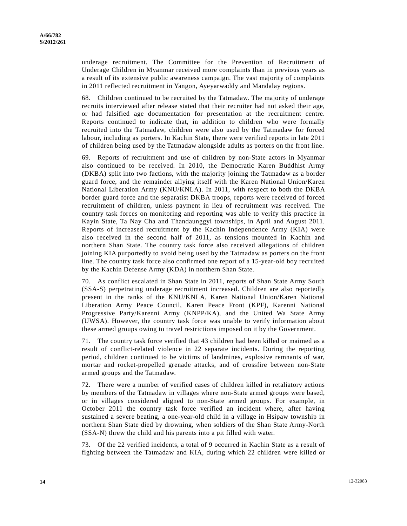underage recruitment. The Committee for the Prevention of Recruitment of Underage Children in Myanmar received more complaints than in previous years as a result of its extensive public awareness campaign. The vast majority of complaints in 2011 reflected recruitment in Yangon, Ayeyarwaddy and Mandalay regions.

68. Children continued to be recruited by the Tatmadaw. The majority of underage recruits interviewed after release stated that their recruiter had not asked their age, or had falsified age documentation for presentation at the recruitment centre. Reports continued to indicate that, in addition to children who were formally recruited into the Tatmadaw, children were also used by the Tatmadaw for forced labour, including as porters. In Kachin State, there were verified reports in late 2011 of children being used by the Tatmadaw alongside adults as porters on the front line.

69. Reports of recruitment and use of children by non-State actors in Myanmar also continued to be received. In 2010, the Democratic Karen Buddhist Army (DKBA) split into two factions, with the majority joining the Tatmadaw as a border guard force, and the remainder allying itself with the Karen National Union/Karen National Liberation Army (KNU/KNLA). In 2011, with respect to both the DKBA border guard force and the separatist DKBA troops, reports were received of forced recruitment of children, unless payment in lieu of recruitment was received. The country task forces on monitoring and reporting was able to verify this practice in Kayin State, Ta Nay Cha and Thandaunggyi townships, in April and August 2011. Reports of increased recruitment by the Kachin Independence Army (KIA) were also received in the second half of 2011, as tensions mounted in Kachin and northern Shan State. The country task force also received allegations of children joining KIA purportedly to avoid being used by the Tatmadaw as porters on the front line. The country task force also confirmed one report of a 15-year-old boy recruited by the Kachin Defense Army (KDA) in northern Shan State.

70. As conflict escalated in Shan State in 2011, reports of Shan State Army South (SSA-S) perpetrating underage recruitment increased. Children are also reportedly present in the ranks of the KNU/KNLA, Karen National Union/Karen National Liberation Army Peace Council, Karen Peace Front (KPF), Karenni National Progressive Party/Karenni Army (KNPP/KA), and the United Wa State Army (UWSA). However, the country task force was unable to verify information about these armed groups owing to travel restrictions imposed on it by the Government.

71. The country task force verified that 43 children had been killed or maimed as a result of conflict-related violence in 22 separate incidents. During the reporting period, children continued to be victims of landmines, explosive remnants of war, mortar and rocket-propelled grenade attacks, and of crossfire between non-State armed groups and the Tatmadaw.

72. There were a number of verified cases of children killed in retaliatory actions by members of the Tatmadaw in villages where non-State armed groups were based, or in villages considered aligned to non-State armed groups. For example, in October 2011 the country task force verified an incident where, after having sustained a severe beating, a one-year-old child in a village in Hsipaw township in northern Shan State died by drowning, when soldiers of the Shan State Army-North (SSA-N) threw the child and his parents into a pit filled with water.

73. Of the 22 verified incidents, a total of 9 occurred in Kachin State as a result of fighting between the Tatmadaw and KIA, during which 22 children were killed or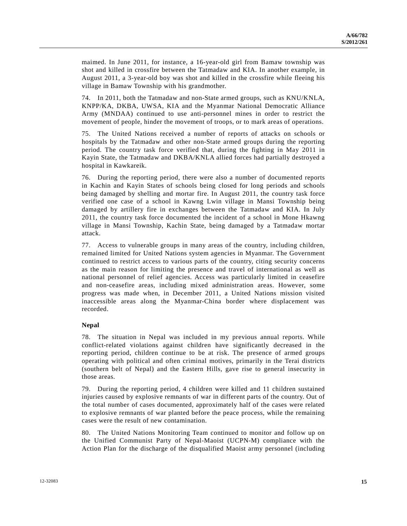maimed. In June 2011, for instance, a 16-year-old girl from Bamaw township was shot and killed in crossfire between the Tatmadaw and KIA. In another example, in August 2011, a 3-year-old boy was shot and killed in the crossfire while fleeing his village in Bamaw Township with his grandmother.

74. In 2011, both the Tatmadaw and non-State armed groups, such as KNU/KNLA, KNPP/KA, DKBA, UWSA, KIA and the Myanmar National Democratic Alliance Army (MNDAA) continued to use anti-personnel mines in order to restrict the movement of people, hinder the movement of troops, or to mark areas of operations.

75. The United Nations received a number of reports of attacks on schools or hospitals by the Tatmadaw and other non-State armed groups during the reporting period. The country task force verified that, during the fighting in May 2011 in Kayin State, the Tatmadaw and DKBA/KNLA allied forces had partially destroyed a hospital in Kawkareik.

76. During the reporting period, there were also a number of documented reports in Kachin and Kayin States of schools being closed for long periods and schools being damaged by shelling and mortar fire. In August 2011, the country task force verified one case of a school in Kawng Lwin village in Mansi Township being damaged by artillery fire in exchanges between the Tatmadaw and KIA. In July 2011, the country task force documented the incident of a school in Mone Hkawng village in Mansi Township, Kachin State, being damaged by a Tatmadaw mortar attack.

77. Access to vulnerable groups in many areas of the country, including children, remained limited for United Nations system agencies in Myanmar. The Government continued to restrict access to various parts of the country, citing security concerns as the main reason for limiting the presence and travel of international as well as national personnel of relief agencies. Access was particularly limited in ceasefire and non-ceasefire areas, including mixed administration areas. However, some progress was made when, in December 2011, a United Nations mission visited inaccessible areas along the Myanmar-China border where displacement was recorded.

## **Nepal**

78. The situation in Nepal was included in my previous annual reports. While conflict-related violations against children have significantly decreased in the reporting period, children continue to be at risk. The presence of armed groups operating with political and often criminal motives, primarily in the Terai districts (southern belt of Nepal) and the Eastern Hills, gave rise to general insecurity in those areas.

79. During the reporting period, 4 children were killed and 11 children sustained injuries caused by explosive remnants of war in different parts of the country. Out of the total number of cases documented, approximately half of the cases were related to explosive remnants of war planted before the peace process, while the remaining cases were the result of new contamination.

80. The United Nations Monitoring Team continued to monitor and follow up on the Unified Communist Party of Nepal-Maoist (UCPN-M) compliance with the Action Plan for the discharge of the disqualified Maoist army personnel (including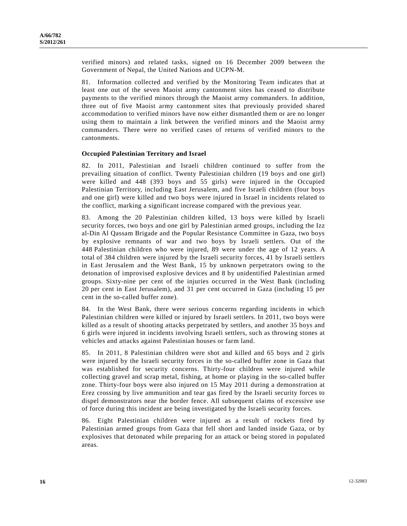verified minors) and related tasks, signed on 16 December 2009 between the Government of Nepal, the United Nations and UCPN-M.

81. Information collected and verified by the Monitoring Team indicates that at least one out of the seven Maoist army cantonment sites has ceased to distribute payments to the verified minors through the Maoist army commanders. In addition, three out of five Maoist army cantonment sites that previously provided shared accommodation to verified minors have now either dismantled them or are no longer using them to maintain a link between the verified minors and the Maoist army commanders. There were no verified cases of returns of verified minors to the cantonments.

#### **Occupied Palestinian Territory and Israel**

82. In 2011, Palestinian and Israeli children continued to suffer from the prevailing situation of conflict. Twenty Palestinian children (19 boys and one girl) were killed and 448 (393 boys and 55 girls) were injured in the Occupied Palestinian Territory, including East Jerusalem, and five Israeli children (four boys and one girl) were killed and two boys were injured in Israel in incidents related to the conflict, marking a significant increase compared with the previous year.

83. Among the 20 Palestinian children killed, 13 boys were killed by Israeli security forces, two boys and one girl by Palestinian armed groups, including the Izz al-Din Al Qassam Brigade and the Popular Resistance Committee in Gaza, two boys by explosive remnants of war and two boys by Israeli settlers. Out of the 448 Palestinian children who were injured, 89 were under the age of 12 years. A total of 384 children were injured by the Israeli security forces, 41 by Israeli settlers in East Jerusalem and the West Bank, 15 by unknown perpetrators owing to the detonation of improvised explosive devices and 8 by unidentified Palestinian armed groups. Sixty-nine per cent of the injuries occurred in the West Bank (including 20 per cent in East Jerusalem), and 31 per cent occurred in Gaza (including 15 per cent in the so-called buffer zone).

84. In the West Bank, there were serious concerns regarding incidents in which Palestinian children were killed or injured by Israeli settlers. In 2011, two boys were killed as a result of shooting attacks perpetrated by settlers, and another 35 boys and 6 girls were injured in incidents involving Israeli settlers, such as throwing stones at vehicles and attacks against Palestinian houses or farm land.

85. In 2011, 8 Palestinian children were shot and killed and 65 boys and 2 girls were injured by the Israeli security forces in the so-called buffer zone in Gaza that was established for security concerns. Thirty-four children were injured while collecting gravel and scrap metal, fishing, at home or playing in the so-called buffer zone. Thirty-four boys were also injured on 15 May 2011 during a demonstration at Erez crossing by live ammunition and tear gas fired by the Israeli security forces to dispel demonstrators near the border fence. All subsequent claims of excessive use of force during this incident are being investigated by the Israeli security forces.

86. Eight Palestinian children were injured as a result of rockets fired by Palestinian armed groups from Gaza that fell short and landed inside Gaza, or by explosives that detonated while preparing for an attack or being stored in populated areas.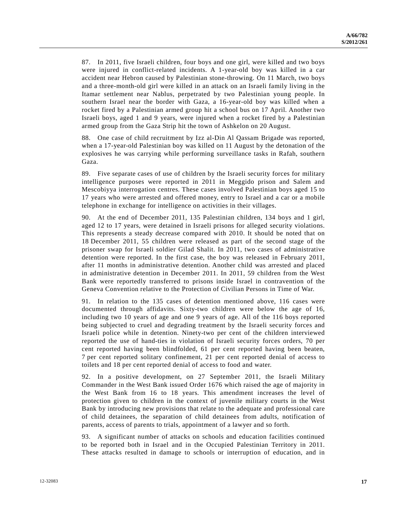87. In 2011, five Israeli children, four boys and one girl, were killed and two boys were injured in conflict-related incidents. A 1-year-old boy was killed in a car accident near Hebron caused by Palestinian stone-throwing. On 11 March, two boys and a three-month-old girl were killed in an attack on an Israeli family living in the Itamar settlement near Nablus, perpetrated by two Palestinian young people. In southern Israel near the border with Gaza, a 16-year-old boy was killed when a rocket fired by a Palestinian armed group hit a school bus on 17 April. Another two Israeli boys, aged 1 and 9 years, were injured when a rocket fired by a Palestinian armed group from the Gaza Strip hit the town of Ashkelon on 20 August.

88. One case of child recruitment by Izz al-Din Al Qassam Brigade was reported, when a 17-year-old Palestinian boy was killed on 11 August by the detonation of the explosives he was carrying while performing surveillance tasks in Rafah, southern Gaza.

89. Five separate cases of use of children by the Israeli security forces for military intelligence purposes were reported in 2011 in Meggido prison and Salem and Mescobiyya interrogation centres. These cases involved Palestinian boys aged 15 to 17 years who were arrested and offered money, entry to Israel and a car or a mobile telephone in exchange for intelligence on activities in their villages.

90. At the end of December 2011, 135 Palestinian children, 134 boys and 1 girl, aged 12 to 17 years, were detained in Israeli prisons for alleged security violations. This represents a steady decrease compared with 2010. It should be noted that on 18 December 2011, 55 children were released as part of the second stage of the prisoner swap for Israeli soldier Gilad Shalit. In 2011, two cases of administrative detention were reported. In the first case, the boy was released in February 2011, after 11 months in administrative detention. Another child was arrested and placed in administrative detention in December 2011. In 2011, 59 children from the West Bank were reportedly transferred to prisons inside Israel in contravention of the Geneva Convention relative to the Protection of Civilian Persons in Time of War.

91. In relation to the 135 cases of detention mentioned above, 116 cases were documented through affidavits. Sixty-two children were below the age of 16, including two 10 years of age and one 9 years of age. All of the 116 boys reported being subjected to cruel and degrading treatment by the Israeli security forces and Israeli police while in detention. Ninety-two per cent of the children interviewed reported the use of hand-ties in violation of Israeli security forces orders, 70 per cent reported having been blindfolded, 61 per cent reported having been beaten, 7 per cent reported solitary confinement, 21 per cent reported denial of access to toilets and 18 per cent reported denial of access to food and water.

92. In a positive development, on 27 September 2011, the Israeli Military Commander in the West Bank issued Order 1676 which raised the age of majority in the West Bank from 16 to 18 years. This amendment increases the level of protection given to children in the context of juvenile military courts in the West Bank by introducing new provisions that relate to the adequate and professional care of child detainees, the separation of child detainees from adults, notification of parents, access of parents to trials, appointment of a lawyer and so forth.

93. A significant number of attacks on schools and education facilities continued to be reported both in Israel and in the Occupied Palestinian Territory in 2011. These attacks resulted in damage to schools or interruption of education, and in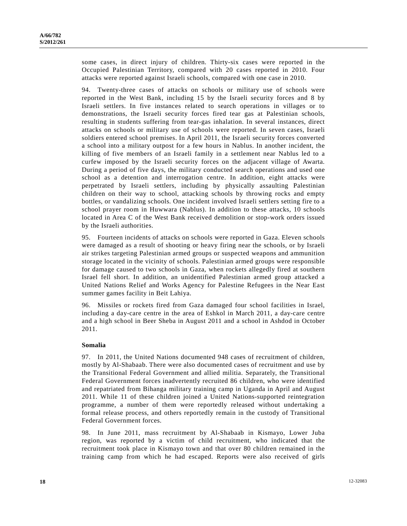some cases, in direct injury of children. Thirty-six cases were reported in the Occupied Palestinian Territory, compared with 20 cases reported in 2010. Four attacks were reported against Israeli schools, compared with one case in 2010.

94. Twenty-three cases of attacks on schools or military use of schools were reported in the West Bank, including 15 by the Israeli security forces and 8 by Israeli settlers. In five instances related to search operations in villages or to demonstrations, the Israeli security forces fired tear gas at Palestinian schools, resulting in students suffering from tear-gas inhalation. In several instances, direct attacks on schools or military use of schools were reported. In seven cases, Israeli soldiers entered school premises. In April 2011, the Israeli security forces converted a school into a military outpost for a few hours in Nablus. In another incident, the killing of five members of an Israeli family in a settlement near Nablus led to a curfew imposed by the Israeli security forces on the adjacent village of Awarta. During a period of five days, the military conducted search operations and used one school as a detention and interrogation centre. In addition, eight attacks were perpetrated by Israeli settlers, including by physically assaulting Palestinian children on their way to school, attacking schools by throwing rocks and empty bottles, or vandalizing schools. One incident involved Israeli settlers setting fire to a school prayer room in Huwwara (Nablus). In addition to these attacks, 10 schools located in Area C of the West Bank received demolition or stop-work orders issued by the Israeli authorities.

95. Fourteen incidents of attacks on schools were reported in Gaza. Eleven schools were damaged as a result of shooting or heavy firing near the schools, or by Israeli air strikes targeting Palestinian armed groups or suspected weapons and ammunition storage located in the vicinity of schools. Palestinian armed groups were responsible for damage caused to two schools in Gaza, when rockets allegedly fired at southern Israel fell short. In addition, an unidentified Palestinian armed group attacked a United Nations Relief and Works Agency for Palestine Refugees in the Near East summer games facility in Beit Lahiya.

96. Missiles or rockets fired from Gaza damaged four school facilities in Israel, including a day-care centre in the area of Eshkol in March 2011, a day-care centre and a high school in Beer Sheba in August 2011 and a school in Ashdod in October 2011.

## **Somalia**

97. In 2011, the United Nations documented 948 cases of recruitment of children, mostly by Al-Shabaab. There were also documented cases of recruitment and use by the Transitional Federal Government and allied militia. Separately, the Transitional Federal Government forces inadvertently recruited 86 children, who were identified and repatriated from Bihanga military training camp in Uganda in April and August 2011. While 11 of these children joined a United Nations-supported reintegration programme, a number of them were reportedly released without undertaking a formal release process, and others reportedly remain in the custody of Transitional Federal Government forces.

98. In June 2011, mass recruitment by Al-Shabaab in Kismayo, Lower Juba region, was reported by a victim of child recruitment, who indicated that the recruitment took place in Kismayo town and that over 80 children remained in the training camp from which he had escaped. Reports were also received of girls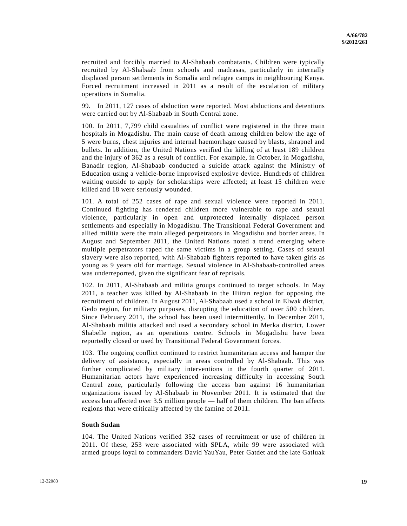recruited and forcibly married to Al-Shabaab combatants. Children were typically recruited by Al-Shabaab from schools and madrasas, particularly in internally displaced person settlements in Somalia and refugee camps in neighbouring Kenya. Forced recruitment increased in 2011 as a result of the escalation of military operations in Somalia.

99. In 2011, 127 cases of abduction were reported. Most abductions and detentions were carried out by Al-Shabaab in South Central zone.

100. In 2011, 7,799 child casualties of conflict were registered in the three main hospitals in Mogadishu. The main cause of death among children below the age of 5 were burns, chest injuries and internal haemorrhage caused by blasts, shrapnel and bullets. In addition, the United Nations verified the killing of at least 189 children and the injury of 362 as a result of conflict. For example, in October, in Mogadishu, Banadir region, Al-Shabaab conducted a suicide attack against the Ministry of Education using a vehicle-borne improvised explosive device. Hundreds of children waiting outside to apply for scholarships were affected; at least 15 children were killed and 18 were seriously wounded.

101. A total of 252 cases of rape and sexual violence were reported in 2011. Continued fighting has rendered children more vulnerable to rape and sexual violence, particularly in open and unprotected internally displaced person settlements and especially in Mogadishu. The Transitional Federal Government and allied militia were the main alleged perpetrators in Mogadishu and border areas. In August and September 2011, the United Nations noted a trend emerging where multiple perpetrators raped the same victims in a group setting. Cases of sexual slavery were also reported, with Al-Shabaab fighters reported to have taken girls as young as 9 years old for marriage. Sexual violence in Al-Shabaab-controlled areas was underreported, given the significant fear of reprisals.

102. In 2011, Al-Shabaab and militia groups continued to target schools. In May 2011, a teacher was killed by Al-Shabaab in the Hiiran region for opposing the recruitment of children. In August 2011, Al-Shabaab used a school in Elwak district, Gedo region, for military purposes, disrupting the education of over 500 children. Since February 2011, the school has been used intermittently. In December 2011, Al-Shabaab militia attacked and used a secondary school in Merka district, Lower Shabelle region, as an operations centre. Schools in Mogadishu have been reportedly closed or used by Transitional Federal Government forces.

103. The ongoing conflict continued to restrict humanitarian access and hamper the delivery of assistance, especially in areas controlled by Al-Shabaab. This was further complicated by military interventions in the fourth quarter of 2011. Humanitarian actors have experienced increasing difficulty in accessing South Central zone, particularly following the access ban against 16 humanitarian organizations issued by Al-Shabaab in November 2011. It is estimated that the access ban affected over 3.5 million people — half of them children. The ban affects regions that were critically affected by the famine of 2011.

## **South Sudan**

104. The United Nations verified 352 cases of recruitment or use of children in 2011. Of these, 253 were associated with SPLA, while 99 were associated with armed groups loyal to commanders David YauYau, Peter Gatdet and the late Gatluak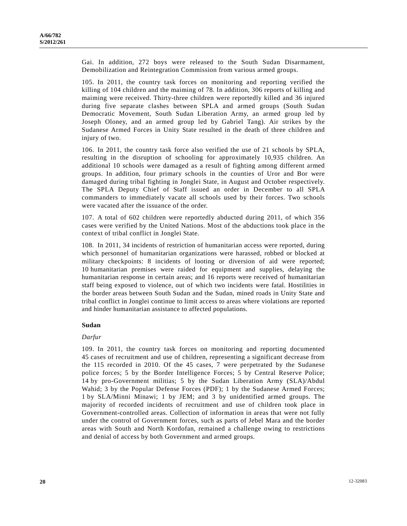Gai. In addition, 272 boys were released to the South Sudan Disarmament, Demobilization and Reintegration Commission from various armed groups.

105. In 2011, the country task forces on monitoring and reporting verified the killing of 104 children and the maiming of 78. In addition, 306 reports of killing and maiming were received. Thirty-three children were reportedly killed and 36 injured during five separate clashes between SPLA and armed groups (South Sudan Democratic Movement, South Sudan Liberation Army, an armed group led by Joseph Oloney, and an armed group led by Gabriel Tang). Air strikes by the Sudanese Armed Forces in Unity State resulted in the death of three children and injury of two.

106. In 2011, the country task force also verified the use of 21 schools by SPLA, resulting in the disruption of schooling for approximately 10,935 children. An additional 10 schools were damaged as a result of fighting among different armed groups. In addition, four primary schools in the counties of Uror and Bor were damaged during tribal fighting in Jonglei State, in August and October respectively. The SPLA Deputy Chief of Staff issued an order in December to all SPLA commanders to immediately vacate all schools used by their forces. Two schools were vacated after the issuance of the order.

107. A total of 602 children were reportedly abducted during 2011, of which 356 cases were verified by the United Nations. Most of the abductions took place in the context of tribal conflict in Jonglei State.

108. In 2011, 34 incidents of restriction of humanitarian access were reported, during which personnel of humanitarian organizations were harassed, robbed or blocked at military checkpoints: 8 incidents of looting or diversion of aid were reported; 10 humanitarian premises were raided for equipment and supplies, delaying the humanitarian response in certain areas; and 16 reports were received of humanitarian staff being exposed to violence, out of which two incidents were fatal. Hostilities in the border areas between South Sudan and the Sudan, mined roads in Unity State and tribal conflict in Jonglei continue to limit access to areas where violations are reported and hinder humanitarian assistance to affected populations.

#### **Sudan**

#### *Darfur*

109. In 2011, the country task forces on monitoring and reporting documented 45 cases of recruitment and use of children, representing a significant decrease from the 115 recorded in 2010. Of the 45 cases, 7 were perpetrated by the Sudanese police forces; 5 by the Border Intelligence Forces; 5 by Central Reserve Police; 14 by pro-Government militias; 5 by the Sudan Liberation Army (SLA)/Abdul Wahid; 3 by the Popular Defense Forces (PDF); 1 by the Sudanese Armed Forces; 1 by SLA/Minni Minawi; 1 by JEM; and 3 by unidentified armed groups. The majority of recorded incidents of recruitment and use of children took place in Government-controlled areas. Collection of information in areas that were not fully under the control of Government forces, such as parts of Jebel Mara and the border areas with South and North Kordofan, remained a challenge owing to restrictions and denial of access by both Government and armed groups.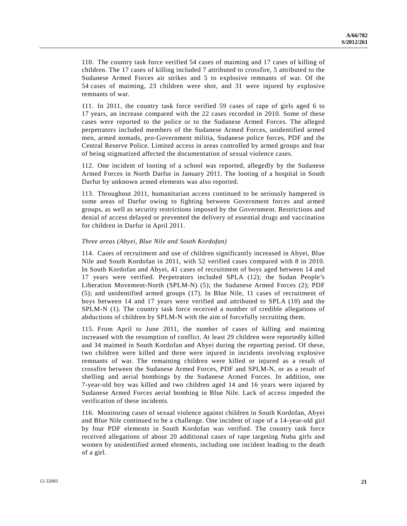110. The country task force verified 54 cases of maiming and 17 cases of killing of children. The 17 cases of killing included 7 attributed to crossfire, 5 attributed to the Sudanese Armed Forces air strikes and 5 to explosive remnants of war. Of the 54 cases of maiming, 23 children were shot, and 31 were injured by explosive remnants of war.

111. In 2011, the country task force verified 59 cases of rape of girls aged 6 to 17 years, an increase compared with the 22 cases recorded in 2010. Some of these cases were reported to the police or to the Sudanese Armed Forces. The alleged perpetrators included members of the Sudanese Armed Forces, unidentified armed men, armed nomads, pro-Government militia, Sudanese police forces, PDF and the Central Reserve Police. Limited access in areas controlled by armed groups and fear of being stigmatized affected the documentation of sexual violence cases.

112. One incident of looting of a school was reported, allegedly by the Sudanese Armed Forces in North Darfur in January 2011. The looting of a hospital in South Darfur by unknown armed elements was also reported.

113. Throughout 2011, humanitarian access continued to be seriously hampered in some areas of Darfur owing to fighting between Government forces and armed groups, as well as security restrictions imposed by the Government. Restrictions and denial of access delayed or prevented the delivery of essential drugs and vaccination for children in Darfur in April 2011.

#### *Three areas (Abyei, Blue Nile and South Kordofan)*

114. Cases of recruitment and use of children significantly increased in Abyei, Blue Nile and South Kordofan in 2011, with 52 verified cases compared with 8 in 2010. In South Kordofan and Abyei, 41 cases of recruitment of boys aged between 14 and 17 years were verified. Perpetrators included SPLA (12); the Sudan People's Liberation Movement-North (SPLM-N) (5); the Sudanese Armed Forces (2); PDF (5); and unidentified armed groups (17). In Blue Nile, 11 cases of recruitment of boys between 14 and 17 years were verified and attributed to SPLA (10) and the SPLM-N (1). The country task force received a number of credible allegations of abductions of children by SPLM-N with the aim of forcefully recruiting them.

115. From April to June 2011, the number of cases of killing and maiming increased with the resumption of conflict. At least 29 children were reportedly killed and 34 maimed in South Kordofan and Abyei during the reporting period. Of these, two children were killed and three were injured in incidents involving explosive remnants of war. The remaining children were killed or injured as a result of crossfire between the Sudanese Armed Forces, PDF and SPLM-N, or as a result of shelling and aerial bombings by the Sudanese Armed Forces. In addition, one 7-year-old boy was killed and two children aged 14 and 16 years were injured by Sudanese Armed Forces aerial bombing in Blue Nile. Lack of access impeded the verification of these incidents.

116. Monitoring cases of sexual violence against children in South Kordofan, Abyei and Blue Nile continued to be a challenge. One incident of rape of a 14-year-old girl by four PDF elements in South Kordofan was verified. The country task force received allegations of about 20 additional cases of rape targeting Nuba girls and women by unidentified armed elements, including one incident leading to the death of a girl.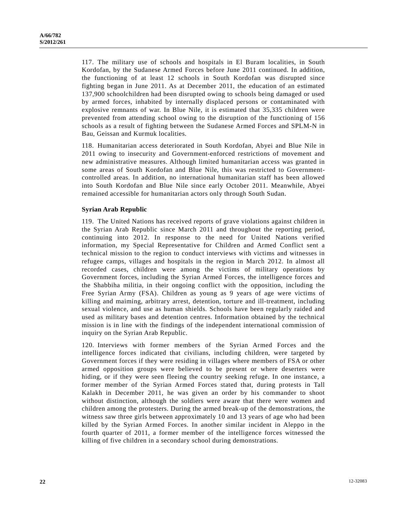117. The military use of schools and hospitals in El Buram localities, in South Kordofan, by the Sudanese Armed Forces before June 2011 continued. In addition, the functioning of at least 12 schools in South Kordofan was disrupted since fighting began in June 2011. As at December 2011, the education of an estimated 137,900 schoolchildren had been disrupted owing to schools being damaged or used by armed forces, inhabited by internally displaced persons or contaminated with explosive remnants of war. In Blue Nile, it is estimated that 35,335 children were prevented from attending school owing to the disruption of the functioning of 156 schools as a result of fighting between the Sudanese Armed Forces and SPLM-N in Bau, Geissan and Kurmuk localities.

118. Humanitarian access deteriorated in South Kordofan, Abyei and Blue Nile in 2011 owing to insecurity and Government-enforced restrictions of movement and new administrative measures. Although limited humanitarian access was granted in some areas of South Kordofan and Blue Nile, this was restricted to Governmentcontrolled areas. In addition, no international humanitarian staff has been allowed into South Kordofan and Blue Nile since early October 2011. Meanwhile, Abyei remained accessible for humanitarian actors only through South Sudan.

## **Syrian Arab Republic**

119. The United Nations has received reports of grave violations against children in the Syrian Arab Republic since March 2011 and throughout the reporting period, continuing into 2012. In response to the need for United Nations verified information, my Special Representative for Children and Armed Conflict sent a technical mission to the region to conduct interviews with victims and witnesses in refugee camps, villages and hospitals in the region in March 2012. In almost all recorded cases, children were among the victims of military operations by Government forces, including the Syrian Armed Forces, the intelligence forces and the Shabbiha militia, in their ongoing conflict with the opposition, including the Free Syrian Army (FSA). Children as young as 9 years of age were victims of killing and maiming, arbitrary arrest, detention, torture and ill-treatment, including sexual violence, and use as human shields. Schools have been regularly raided and used as military bases and detention centres. Information obtained by the technical mission is in line with the findings of the independent international commission of inquiry on the Syrian Arab Republic.

120. Interviews with former members of the Syrian Armed Forces and the intelligence forces indicated that civilians, including children, were targeted by Government forces if they were residing in villages where members of FSA or other armed opposition groups were believed to be present or where deserters were hiding, or if they were seen fleeing the country seeking refuge. In one instance, a former member of the Syrian Armed Forces stated that, during protests in Tall Kalakh in December 2011, he was given an order by his commander to shoot without distinction, although the soldiers were aware that there were women and children among the protesters. During the armed break-up of the demonstrations, the witness saw three girls between approximately 10 and 13 years of age who had been killed by the Syrian Armed Forces. In another similar incident in Aleppo in the fourth quarter of 2011, a former member of the intelligence forces witnessed the killing of five children in a secondary school during demonstrations.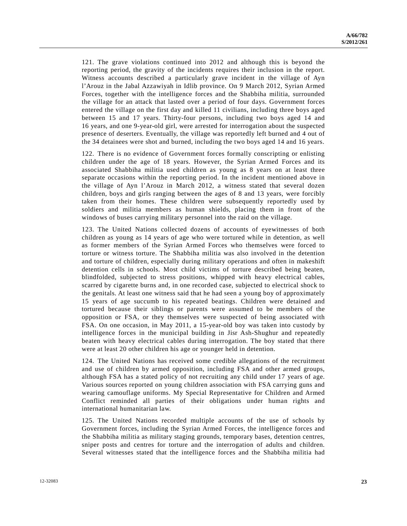121. The grave violations continued into 2012 and although this is beyond the reporting period, the gravity of the incidents requires their inclusion in the report. Witness accounts described a particularly grave incident in the village of Ayn l'Arouz in the Jabal Azzawiyah in Idlib province. On 9 March 2012, Syrian Armed Forces, together with the intelligence forces and the Shabbiha militia, surrounded the village for an attack that lasted over a period of four days. Government forces entered the village on the first day and killed 11 civilians, including three boys aged between 15 and 17 years. Thirty-four persons, including two boys aged 14 and 16 years, and one 9-year-old girl, were arrested for interrogation about the suspected presence of deserters. Eventually, the village was reportedly left burned and 4 out of the 34 detainees were shot and burned, including the two boys aged 14 and 16 years.

122. There is no evidence of Government forces formally conscripting or enlisting children under the age of 18 years. However, the Syrian Armed Forces and its associated Shabbiha militia used children as young as 8 years on at least three separate occasions within the reporting period. In the incident mentioned above in the village of Ayn l'Arouz in March 2012, a witness stated that several dozen children, boys and girls ranging between the ages of 8 and 13 years, were forcibly taken from their homes. These children were subsequently reportedly used by soldiers and militia members as human shields, placing them in front of the windows of buses carrying military personnel into the raid on the village.

123. The United Nations collected dozens of accounts of eyewitnesses of both children as young as 14 years of age who were tortured while in detention, as well as former members of the Syrian Armed Forces who themselves were forced to torture or witness torture. The Shabbiha militia was also involved in the detention and torture of children, especially during military operations and often in makeshift detention cells in schools. Most child victims of torture described being beaten, blindfolded, subjected to stress positions, whipped with heavy electrical cables, scarred by cigarette burns and, in one recorded case, subjected to electrical shock to the genitals. At least one witness said that he had seen a young boy of approximately 15 years of age succumb to his repeated beatings. Children were detained and tortured because their siblings or parents were assumed to be members of the opposition or FSA, or they themselves were suspected of being associated with FSA. On one occasion, in May 2011, a 15-year-old boy was taken into custody by intelligence forces in the municipal building in Jisr Ash-Shughur and repeatedly beaten with heavy electrical cables during interrogation. The boy stated that there were at least 20 other children his age or younger held in detention.

124. The United Nations has received some credible allegations of the recruitment and use of children by armed opposition, including FSA and other armed groups, although FSA has a stated policy of not recruiting any child under 17 years of age. Various sources reported on young children association with FSA carrying guns and wearing camouflage uniforms. My Special Representative for Children and Armed Conflict reminded all parties of their obligations under human rights and international humanitarian law.

125. The United Nations recorded multiple accounts of the use of schools by Government forces, including the Syrian Armed Forces, the intelligence forces and the Shabbiha militia as military staging grounds, temporary bases, detention centres, sniper posts and centres for torture and the interrogation of adults and children. Several witnesses stated that the intelligence forces and the Shabbiha militia had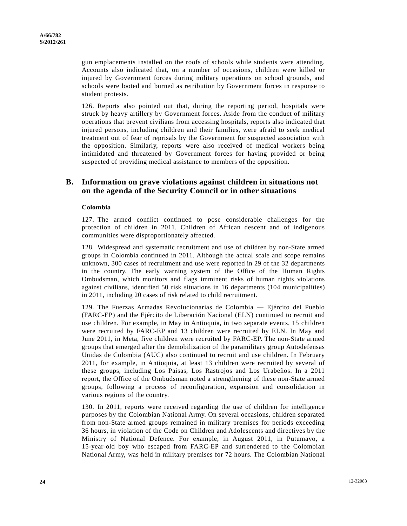gun emplacements installed on the roofs of schools while students were attending. Accounts also indicated that, on a number of occasions, children were killed or injured by Government forces during military operations on school grounds, and schools were looted and burned as retribution by Government forces in response to student protests.

126. Reports also pointed out that, during the reporting period, hospitals were struck by heavy artillery by Government forces. Aside from the conduct of military operations that prevent civilians from accessing hospitals, reports also indicated that injured persons, including children and their families, were afraid to seek medical treatment out of fear of reprisals by the Government for suspected association with the opposition. Similarly, reports were also received of medical workers being intimidated and threatened by Government forces for having provided or being suspected of providing medical assistance to members of the opposition.

## **B. Information on grave violations against children in situations not on the agenda of the Security Council or in other situations**

## **Colombia**

127. The armed conflict continued to pose considerable challenges for the protection of children in 2011. Children of African descent and of indigenous communities were disproportionately affected.

128. Widespread and systematic recruitment and use of children by non-State armed groups in Colombia continued in 2011. Although the actual scale and scope remains unknown, 300 cases of recruitment and use were reported in 29 of the 32 departments in the country. The early warning system of the Office of the Human Rights Ombudsman, which monitors and flags imminent risks of human rights violations against civilians, identified 50 risk situations in 16 departments (104 municipalities) in 2011, including 20 cases of risk related to child recruitment.

129. The Fuerzas Armadas Revolucionarias de Colombia — Ejército del Pueblo (FARC-EP) and the Ejército de Liberación Nacional (ELN) continued to recruit and use children. For example, in May in Antioquia, in two separate events, 15 children were recruited by FARC-EP and 13 children were recruited by ELN. In May and June 2011, in Meta, five children were recruited by FARC-EP. The non-State armed groups that emerged after the demobilization of the paramilitary group Autodefensas Unidas de Colombia (AUC) also continued to recruit and use children. In February 2011, for example, in Antioquia, at least 13 children were recruited by several of these groups, including Los Paisas, Los Rastrojos and Los Urabeños. In a 2011 report, the Office of the Ombudsman noted a strengthening of these non-State armed groups, following a process of reconfiguration, expansion and consolidation in various regions of the country.

130. In 2011, reports were received regarding the use of children for intelligence purposes by the Colombian National Army. On several occasions, children separated from non-State armed groups remained in military premises for periods exceeding 36 hours, in violation of the Code on Children and Adolescents and directives by the Ministry of National Defence. For example, in August 2011, in Putumayo, a 15-year-old boy who escaped from FARC-EP and surrendered to the Colombian National Army, was held in military premises for 72 hours. The Colombian National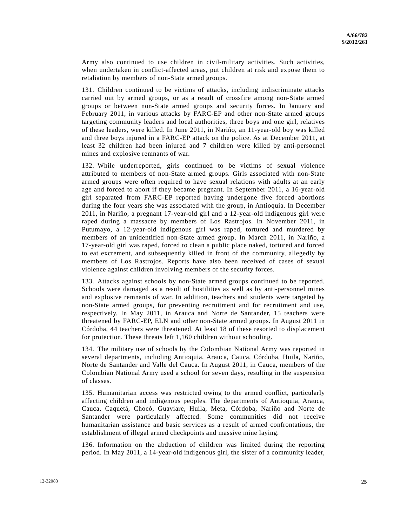Army also continued to use children in civil-military activities. Such activities, when undertaken in conflict-affected areas, put children at risk and expose them to retaliation by members of non-State armed groups.

131. Children continued to be victims of attacks, including indiscriminate attacks carried out by armed groups, or as a result of crossfire among non-State armed groups or between non-State armed groups and security forces. In January and February 2011, in various attacks by FARC-EP and other non-State armed groups targeting community leaders and local authorities, three boys and one girl, relatives of these leaders, were killed. In June 2011, in Nariño, an 11-year-old boy was killed and three boys injured in a FARC-EP attack on the police. As at December 2011, at least 32 children had been injured and 7 children were killed by anti-personnel mines and explosive remnants of war.

132. While underreported, girls continued to be victims of sexual violence attributed to members of non-State armed groups. Girls associated with non-State armed groups were often required to have sexual relations with adults at an early age and forced to abort if they became pregnant. In September 2011, a 16-year-old girl separated from FARC-EP reported having undergone five forced abortions during the four years she was associated with the group, in Antioquia. In December 2011, in Nariño, a pregnant 17-year-old girl and a 12-year-old indigenous girl were raped during a massacre by members of Los Rastrojos. In November 2011, in Putumayo, a 12-year-old indigenous girl was raped, tortured and murdered by members of an unidentified non-State armed group. In March 2011, in Nariño, a 17-year-old girl was raped, forced to clean a public place naked, tortured and forced to eat excrement, and subsequently killed in front of the community, allegedly by members of Los Rastrojos. Reports have also been received of cases of sexual violence against children involving members of the security forces.

133. Attacks against schools by non-State armed groups continued to be reported. Schools were damaged as a result of hostilities as well as by anti-personnel mines and explosive remnants of war. In addition, teachers and students were targeted by non-State armed groups, for preventing recruitment and for recruitment and use, respectively. In May 2011, in Arauca and Norte de Santander, 15 teachers were threatened by FARC-EP, ELN and other non-State armed groups. In August 2011 in Córdoba, 44 teachers were threatened. At least 18 of these resorted to displacement for protection. These threats left 1,160 children without schooling.

134. The military use of schools by the Colombian National Army was reported in several departments, including Antioquia, Arauca, Cauca, Córdoba, Huila, Nariño, Norte de Santander and Valle del Cauca. In August 2011, in Cauca, members of the Colombian National Army used a school for seven days, resulting in the suspension of classes.

135. Humanitarian access was restricted owing to the armed conflict, particularly affecting children and indigenous peoples. The departments of Antioquia, Arauca, Cauca, Caquetá, Chocó, Guaviare, Huila, Meta, Córdoba, Nariño and Norte de Santander were particularly affected. Some communities did not receive humanitarian assistance and basic services as a result of armed confrontations, the establishment of illegal armed checkpoints and massive mine laying.

136. Information on the abduction of children was limited during the reporting period. In May 2011, a 14-year-old indigenous girl, the sister of a community leader,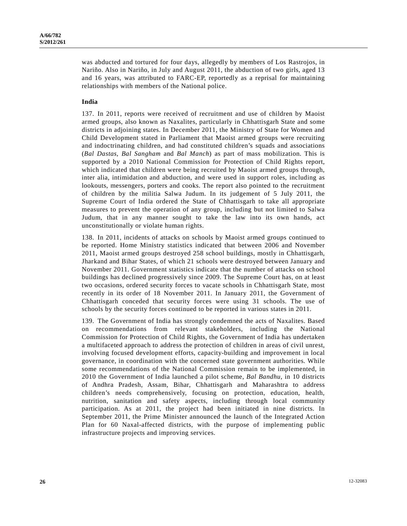was abducted and tortured for four days, allegedly by members of Los Rastrojos, in Nariño. Also in Nariño, in July and August 2011, the abduction of two girls, aged 13 and 16 years, was attributed to FARC-EP, reportedly as a reprisal for maintaining relationships with members of the National police.

#### **India**

137. In 2011, reports were received of recruitment and use of children by Maoist armed groups, also known as Naxalites, particularly in Chhattisgarh State and some districts in adjoining states. In December 2011, the Ministry of State for Women and Child Development stated in Parliament that Maoist armed groups were recruiting and indoctrinating children, and had constituted children's squads and associations (*Bal Dastas, Bal Sangham* and *Bal Manch*) as part of mass mobilization. This is supported by a 2010 National Commission for Protection of Child Rights report, which indicated that children were being recruited by Maoist armed groups through, inter alia, intimidation and abduction, and were used in support roles, including as lookouts, messengers, porters and cooks. The report also pointed to the recruitment of children by the militia Salwa Judum. In its judgement of 5 July 2011, the Supreme Court of India ordered the State of Chhattisgarh to take all appropriate measures to prevent the operation of any group, including but not limited to Salwa Judum, that in any manner sought to take the law into its own hands, act unconstitutionally or violate human rights.

138. In 2011, incidents of attacks on schools by Maoist armed groups continued to be reported. Home Ministry statistics indicated that between 2006 and November 2011, Maoist armed groups destroyed 258 school buildings, mostly in Chhattisgarh, Jharkand and Bihar States, of which 21 schools were destroyed between January and November 2011. Government statistics indicate that the number of attacks on school buildings has declined progressively since 2009. The Supreme Court has, on at least two occasions, ordered security forces to vacate schools in Chhattisgarh State, most recently in its order of 18 November 2011. In January 2011, the Government of Chhattisgarh conceded that security forces were using 31 schools. The use of schools by the security forces continued to be reported in various states in 2011.

139. The Government of India has strongly condemned the acts of Naxalites. Based on recommendations from relevant stakeholders, including the National Commission for Protection of Child Rights, the Government of India has undertaken a multifaceted approach to address the protection of children in areas of civil unrest, involving focused development efforts, capacity-building and improvement in local governance, in coordination with the concerned state government authorities. While some recommendations of the National Commission remain to be implemented, in 2010 the Government of India launched a pilot scheme, *Bal Bandhu*, in 10 districts of Andhra Pradesh, Assam, Bihar, Chhattisgarh and Maharashtra to address children's needs comprehensively, focusing on protection, education, health, nutrition, sanitation and safety aspects, including through local community participation. As at 2011, the project had been initiated in nine districts. In September 2011, the Prime Minister announced the launch of the Integrated Action Plan for 60 Naxal-affected districts, with the purpose of implementing public infrastructure projects and improving services.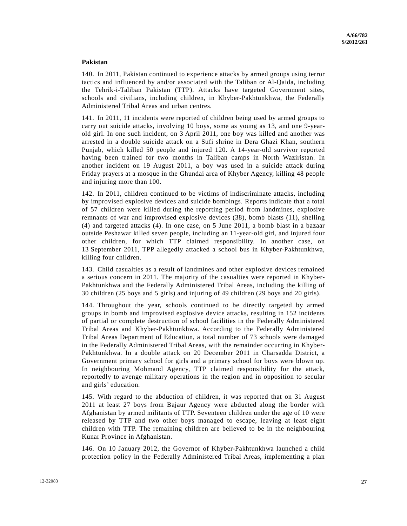#### **Pakistan**

140. In 2011, Pakistan continued to experience attacks by armed groups using terror tactics and influenced by and/or associated with the Taliban or Al-Qaida, including the Tehrik-i-Taliban Pakistan (TTP). Attacks have targeted Government sites, schools and civilians, including children, in Khyber-Pakhtunkhwa, the Federally Administered Tribal Areas and urban centres.

141. In 2011, 11 incidents were reported of children being used by armed groups to carry out suicide attacks, involving 10 boys, some as young as 13, and one 9-yearold girl. In one such incident, on 3 April 2011, one boy was killed and another was arrested in a double suicide attack on a Sufi shrine in Dera Ghazi Khan, southern Punjab, which killed 50 people and injured 120. A 14-year-old survivor reported having been trained for two months in Taliban camps in North Waziristan. In another incident on 19 August 2011, a boy was used in a suicide attack during Friday prayers at a mosque in the Ghundai area of Khyber Agency, killing 48 people and injuring more than 100.

142. In 2011, children continued to be victims of indiscriminate attacks, including by improvised explosive devices and suicide bombings. Reports indicate that a total of 57 children were killed during the reporting period from landmines, explosive remnants of war and improvised explosive devices (38), bomb blasts (11), shelling (4) and targeted attacks (4). In one case, on 5 June 2011, a bomb blast in a bazaar outside Peshawar killed seven people, including an 11-year-old girl, and injured four other children, for which TTP claimed responsibility. In another case, on 13 September 2011, TPP allegedly attacked a school bus in Khyber-Pakhtunkhwa, killing four children.

143. Child casualties as a result of landmines and other explosive devices remained a serious concern in 2011. The majority of the casualties were reported in Khyber-Pakhtunkhwa and the Federally Administered Tribal Areas, including the killing of 30 children (25 boys and 5 girls) and injuring of 49 children (29 boys and 20 girls).

144. Throughout the year, schools continued to be directly targeted by armed groups in bomb and improvised explosive device attacks, resulting in 152 incidents of partial or complete destruction of school facilities in the Federally Administered Tribal Areas and Khyber-Pakhtunkhwa. According to the Federally Administered Tribal Areas Department of Education, a total number of 73 schools were damaged in the Federally Administered Tribal Areas, with the remainder occurring in Khyber-Pakhtunkhwa. In a double attack on 20 December 2011 in Charsadda District, a Government primary school for girls and a primary school for boys were blown up. In neighbouring Mohmand Agency, TTP claimed responsibility for the attack, reportedly to avenge military operations in the region and in opposition to secular and girls' education.

145. With regard to the abduction of children, it was reported that on 31 August 2011 at least 27 boys from Bajaur Agency were abducted along the border with Afghanistan by armed militants of TTP. Seventeen children under the age of 10 were released by TTP and two other boys managed to escape, leaving at least eight children with TTP. The remaining children are believed to be in the neighbouring Kunar Province in Afghanistan.

146. On 10 January 2012, the Governor of Khyber-Pakhtunkhwa launched a child protection policy in the Federally Administered Tribal Areas, implementing a plan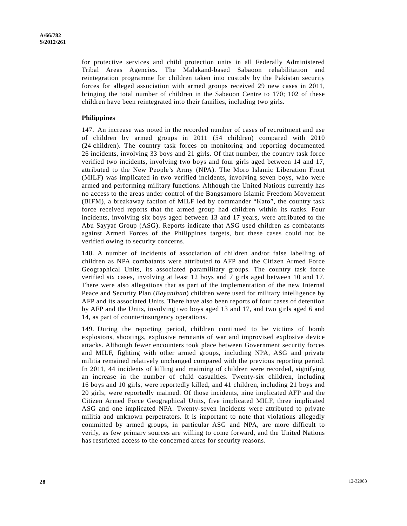for protective services and child protection units in all Federally Administered Tribal Areas Agencies. The Malakand-based Sabaoon rehabilitation and reintegration programme for children taken into custody by the Pakistan security forces for alleged association with armed groups received 29 new cases in 2011, bringing the total number of children in the Sabaoon Centre to 170; 102 of these children have been reintegrated into their families, including two girls.

## **Philippines**

147. An increase was noted in the recorded number of cases of recruitment and use of children by armed groups in 2011 (54 children) compared with 2010 (24 children). The country task forces on monitoring and reporting documented 26 incidents, involving 33 boys and 21 girls. Of that number, the country task force verified two incidents, involving two boys and four girls aged between 14 and 17, attributed to the New People's Army (NPA). The Moro Islamic Liberation Front (MILF) was implicated in two verified incidents, involving seven boys, who were armed and performing military functions. Although the United Nations currently has no access to the areas under control of the Bangsamoro Islamic Freedom Movement (BIFM), a breakaway faction of MILF led by commander "Kato", the country task force received reports that the armed group had children within its ranks. Four incidents, involving six boys aged between 13 and 17 years, were attributed to the Abu Sayyaf Group (ASG). Reports indicate that ASG used children as combatants against Armed Forces of the Philippines targets, but these cases could not be verified owing to security concerns.

148. A number of incidents of association of children and/or false labelling of children as NPA combatants were attributed to AFP and the Citizen Armed Force Geographical Units, its associated paramilitary groups. The country task force verified six cases, involving at least 12 boys and 7 girls aged between 10 and 17. There were also allegations that as part of the implementation of the new Internal Peace and Security Plan (*Bayanihan*) children were used for military intelligence by AFP and its associated Units. There have also been reports of four cases of detention by AFP and the Units, involving two boys aged 13 and 17, and two girls aged 6 and 14, as part of counterinsurgency operations.

149. During the reporting period, children continued to be victims of bomb explosions, shootings, explosive remnants of war and improvised explosive device attacks. Although fewer encounters took place between Government security forces and MILF, fighting with other armed groups, including NPA, ASG and private militia remained relatively unchanged compared with the previous reporting period. In 2011, 44 incidents of killing and maiming of children were recorded, signifying an increase in the number of child casualties. Twenty-six children, including 16 boys and 10 girls, were reportedly killed, and 41 children, including 21 boys and 20 girls, were reportedly maimed. Of those incidents, nine implicated AFP and the Citizen Armed Force Geographical Units, five implicated MILF, three implicated ASG and one implicated NPA. Twenty-seven incidents were attributed to private militia and unknown perpetrators. It is important to note that violations allegedly committed by armed groups, in particular ASG and NPA, are more difficult to verify, as few primary sources are willing to come forward, and the United Nations has restricted access to the concerned areas for security reasons.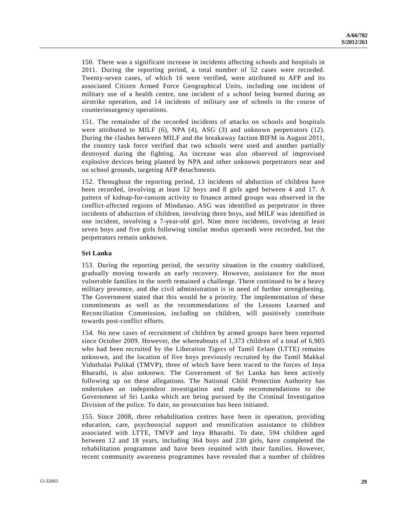150. There was a significant increase in incidents affecting schools and hospitals in 2011. During the reporting period, a total number of 52 cases were recorded. Twenty-seven cases, of which 16 were verified, were attributed to AFP and its associated Citizen Armed Force Geographical Units, including one incident of military use of a health centre, one incident of a school being burned during an airstrike operation, and 14 incidents of military use of schools in the course of counterinsurgency operations.

151. The remainder of the recorded incidents of attacks on schools and hospitals were attributed to MILF  $(6)$ , NPA  $(4)$ , ASG  $(3)$  and unknown perpetrators  $(12)$ . During the clashes between MILF and the breakaway faction BIFM in August 2011, the country task force verified that two schools were used and another partially destroyed during the fighting. An increase was also observed of improvised explosive devices being planted by NPA and other unknown perpetrators near and on school grounds, targeting AFP detachments.

152. Throughout the reporting period, 13 incidents of abduction of children have been recorded, involving at least 12 boys and 8 girls aged between 4 and 17. A pattern of kidnap-for-ransom activity to finance armed groups was observed in the conflict-affected regions of Mindanao. ASG was identified as perpetrator in three incidents of abduction of children, involving three boys, and MILF was identified in one incident, involving a 7-year-old girl. Nine more incidents, involving at least seven boys and five girls following similar modus operandi were recorded, but the perpetrators remain unknown.

## **Sri Lanka**

153. During the reporting period, the security situation in the country stabilized, gradually moving towards an early recovery. However, assistance for the most vulnerable families in the north remained a challenge. There continued to be a heavy military presence, and the civil administration is in need of further strengthening. The Government stated that this would be a priority. The implementation of these commitments as well as the recommendations of the Lessons Learned and Reconciliation Commission, including on children, will positively contribute towards post-conflict efforts.

154. No new cases of recruitment of children by armed groups have been reported since October 2009. However, the whereabouts of 1,373 children of a total of 6,905 who had been recruited by the Liberation Tigers of Tamil Eelam (LTTE) remains unknown, and the location of five boys previously recruited by the Tamil Makkal Viduthalai Pulikal (TMVP), three of which have been traced to the forces of Inya Bharathi, is also unknown. The Government of Sri Lanka has been actively following up on these allegations. The National Child Protection Authority has undertaken an independent investigation and made recommendations to the Government of Sri Lanka which are being pursued by the Criminal Investigation Division of the police. To date, no prosecution has been initiated.

155. Since 2008, three rehabilitation centres have been in operation, providing education, care, psychosocial support and reunification assistance to children associated with LTTE, TMVP and Inya Bharathi. To date, 594 children aged between 12 and 18 years, including 364 boys and 230 girls, have completed the rehabilitation programme and have been reunited with their families. However, recent community awareness programmes have revealed that a number of children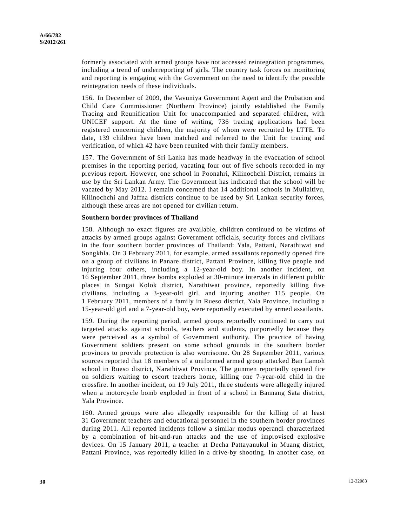formerly associated with armed groups have not accessed reintegration programmes, including a trend of underreporting of girls. The country task forces on monitoring and reporting is engaging with the Government on the need to identify the possible reintegration needs of these individuals.

156. In December of 2009, the Vavuniya Government Agent and the Probation and Child Care Commissioner (Northern Province) jointly established the Family Tracing and Reunification Unit for unaccompanied and separated children, with UNICEF support. At the time of writing, 736 tracing applications had been registered concerning children, the majority of whom were recruited by LTTE. To date, 139 children have been matched and referred to the Unit for tracing and verification, of which 42 have been reunited with their family members.

157. The Government of Sri Lanka has made headway in the evacuation of school premises in the reporting period, vacating four out of five schools recorded in my previous report. However, one school in Poonahri, Kilinochchi District, remains in use by the Sri Lankan Army. The Government has indicated that the school will be vacated by May 2012. I remain concerned that 14 additional schools in Mullaitivu, Kilinochchi and Jaffna districts continue to be used by Sri Lankan security forces, although these areas are not opened for civilian return.

## **Southern border provinces of Thailand**

158. Although no exact figures are available, children continued to be victims of attacks by armed groups against Government officials, security forces and civilians in the four southern border provinces of Thailand: Yala, Pattani, Narathiwat and Songkhla. On 3 February 2011, for example, armed assailants reportedly opened fire on a group of civilians in Panare district, Pattani Province, killing five people and injuring four others, including a 12-year-old boy. In another incident, on 16 September 2011, three bombs exploded at 30-minute intervals in different public places in Sungai Kolok district, Narathiwat province, reportedly killing five civilians, including a 3-year-old girl, and injuring another 115 people. On 1 February 2011, members of a family in Rueso district, Yala Province, including a 15-year-old girl and a 7-year-old boy, were reportedly executed by armed assailants.

159. During the reporting period, armed groups reportedly continued to carry out targeted attacks against schools, teachers and students, purportedly because they were perceived as a symbol of Government authority. The practice of having Government soldiers present on some school grounds in the southern border provinces to provide protection is also worrisome. On 28 September 2011, various sources reported that 18 members of a uniformed armed group attacked Ban Lamoh school in Rueso district, Narathiwat Province. The gunmen reportedly opened fire on soldiers waiting to escort teachers home, killing one 7-year-old child in the crossfire. In another incident, on 19 July 2011, three students were allegedly injured when a motorcycle bomb exploded in front of a school in Bannang Sata district, Yala Province.

160. Armed groups were also allegedly responsible for the killing of at least 31 Government teachers and educational personnel in the southern border provinces during 2011. All reported incidents follow a similar modus operandi characterized by a combination of hit-and-run attacks and the use of improvised explosive devices. On 15 January 2011, a teacher at Decha Pattayanukul in Muang district, Pattani Province, was reportedly killed in a drive-by shooting. In another case, on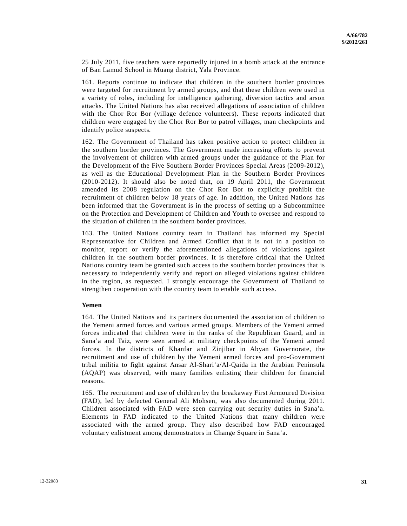25 July 2011, five teachers were reportedly injured in a bomb attack at the entrance of Ban Lamud School in Muang district, Yala Province.

161. Reports continue to indicate that children in the southern border provinces were targeted for recruitment by armed groups, and that these children were used in a variety of roles, including for intelligence gathering, diversion tactics and arson attacks. The United Nations has also received allegations of association of children with the Chor Ror Bor (village defence volunteers). These reports indicated that children were engaged by the Chor Ror Bor to patrol villages, man checkpoints and identify police suspects.

162. The Government of Thailand has taken positive action to protect children in the southern border provinces. The Government made increasing efforts to prevent the involvement of children with armed groups under the guidance of the Plan for the Development of the Five Southern Border Provinces Special Areas (2009-2012), as well as the Educational Development Plan in the Southern Border Provinces (2010-2012). It should also be noted that, on 19 April 2011, the Government amended its 2008 regulation on the Chor Ror Bor to explicitly prohibit the recruitment of children below 18 years of age. In addition, the United Nations has been informed that the Government is in the process of setting up a Subcommittee on the Protection and Development of Children and Youth to oversee and respond to the situation of children in the southern border provinces.

163. The United Nations country team in Thailand has informed my Special Representative for Children and Armed Conflict that it is not in a position to monitor, report or verify the aforementioned allegations of violations against children in the southern border provinces. It is therefore critical that the United Nations country team be granted such access to the southern border provinces that is necessary to independently verify and report on alleged violations against children in the region, as requested. I strongly encourage the Government of Thailand to strengthen cooperation with the country team to enable such access.

#### **Yemen**

164. The United Nations and its partners documented the association of children to the Yemeni armed forces and various armed groups. Members of the Yemeni armed forces indicated that children were in the ranks of the Republican Guard, and in Sana'a and Taiz, were seen armed at military checkpoints of the Yemeni armed forces. In the districts of Khanfar and Zinjibar in Abyan Governorate, the recruitment and use of children by the Yemeni armed forces and pro-Government tribal militia to fight against Ansar Al-Shari'a/Al-Qaida in the Arabian Peninsula (AQAP) was observed, with many families enlisting their children for financial reasons.

165. The recruitment and use of children by the breakaway First Armoured Division (FAD), led by defected General Ali Mohsen, was also documented during 2011. Children associated with FAD were seen carrying out security duties in Sana'a. Elements in FAD indicated to the United Nations that many children were associated with the armed group. They also described how FAD encouraged voluntary enlistment among demonstrators in Change Square in Sana'a.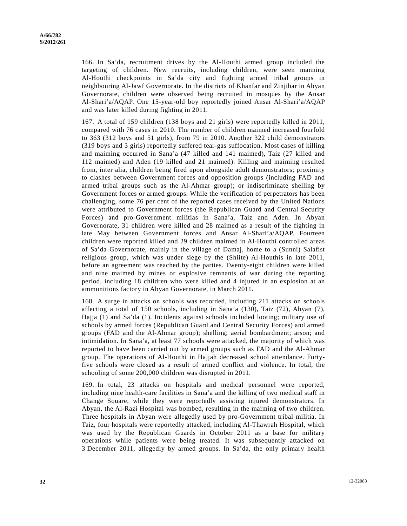166. In Sa'da, recruitment drives by the Al-Houthi armed group included the targeting of children. New recruits, including children, were seen manning Al-Houthi checkpoints in Sa'da city and fighting armed tribal groups in neighbouring Al-Jawf Governorate. In the districts of Khanfar and Zinjibar in Abyan Governorate, children were observed being recruited in mosques by the Ansar Al-Shari'a/AQAP. One 15-year-old boy reportedly joined Ansar Al-Shari'a/AQAP and was later killed during fighting in 2011.

167. A total of 159 children (138 boys and 21 girls) were reportedly killed in 2011, compared with 76 cases in 2010. The number of children maimed increased fourfold to 363 (312 boys and 51 girls), from 79 in 2010. Another 322 child demonstrators (319 boys and 3 girls) reportedly suffered tear-gas suffocation. Most cases of killing and maiming occurred in Sana'a (47 killed and 141 maimed), Taiz (27 killed and 112 maimed) and Aden (19 killed and 21 maimed). Killing and maiming resulted from, inter alia, children being fired upon alongside adult demonstrators; proximity to clashes between Government forces and opposition groups (including FAD and armed tribal groups such as the Al-Ahmar group); or indiscriminate shelling by Government forces or armed groups. While the verification of perpetrators has been challenging, some 76 per cent of the reported cases received by the United Nations were attributed to Government forces (the Republican Guard and Central Security Forces) and pro-Government militias in Sana'a, Taiz and Aden. In Abyan Governorate, 31 children were killed and 28 maimed as a result of the fighting in late May between Government forces and Ansar Al-Shari'a/AQAP. Fourteen children were reported killed and 29 children maimed in Al-Houthi controlled areas of Sa'da Governorate, mainly in the village of Damaj, home to a (Sunni) Salafist religious group, which was under siege by the (Shiite) Al-Houthis in late 2011, before an agreement was reached by the parties. Twenty-eight children were killed and nine maimed by mines or explosive remnants of war during the reporting period, including 18 children who were killed and 4 injured in an explosion at an ammunitions factory in Abyan Governorate, in March 2011.

168. A surge in attacks on schools was recorded, including 211 attacks on schools affecting a total of 150 schools, including in Sana'a (130), Taiz (72), Abyan (7), Hajja (1) and Sa'da (1). Incidents against schools included looting; military use of schools by armed forces (Republican Guard and Central Security Forces) and armed groups (FAD and the Al-Ahmar group); shelling; aerial bombardment; arson; and intimidation. In Sana'a, at least 77 schools were attacked, the majority of which was reported to have been carried out by armed groups such as FAD and the Al-Ahmar group. The operations of Al-Houthi in Hajjah decreased school attendance. Fortyfive schools were closed as a result of armed conflict and violence. In total, the schooling of some 200,000 children was disrupted in 2011.

169. In total, 23 attacks on hospitals and medical personnel were reported, including nine health-care facilities in Sana'a and the killing of two medical staff in Change Square, while they were reportedly assisting injured demonstrators. In Abyan, the Al-Razi Hospital was bombed, resulting in the maiming of two children. Three hospitals in Abyan were allegedly used by pro-Government tribal militia. In Taiz, four hospitals were reportedly attacked, including Al-Thawrah Hospital, which was used by the Republican Guards in October 2011 as a base for military operations while patients were being treated. It was subsequently attacked on 3 December 2011, allegedly by armed groups. In Sa'da, the only primary health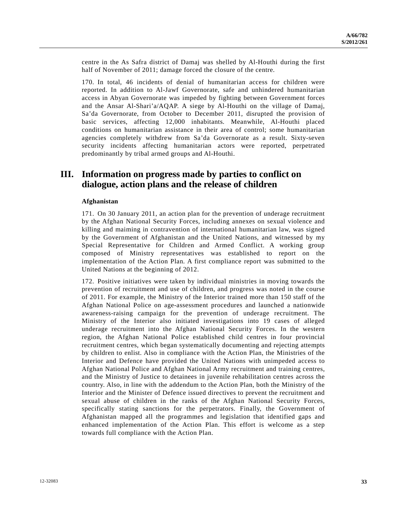centre in the As Safra district of Damaj was shelled by Al-Houthi during the first half of November of 2011; damage forced the closure of the centre.

170. In total, 46 incidents of denial of humanitarian access for children were reported. In addition to Al-Jawf Governorate, safe and unhindered humanitarian access in Abyan Governorate was impeded by fighting between Government forces and the Ansar Al-Shari'a/AQAP. A siege by Al-Houthi on the village of Damaj, Sa'da Governorate, from October to December 2011, disrupted the provision of basic services, affecting 12,000 inhabitants. Meanwhile, Al-Houthi placed conditions on humanitarian assistance in their area of control; some humanitarian agencies completely withdrew from Sa'da Governorate as a result. Sixty-seven security incidents affecting humanitarian actors were reported, perpetrated predominantly by tribal armed groups and Al-Houthi.

## **III. Information on progress made by parties to conflict on dialogue, action plans and the release of children**

## **Afghanistan**

171. On 30 January 2011, an action plan for the prevention of underage recruitment by the Afghan National Security Forces, including annexes on sexual violence and killing and maiming in contravention of international humanitarian law, was signed by the Government of Afghanistan and the United Nations, and witnessed by my Special Representative for Children and Armed Conflict. A working group composed of Ministry representatives was established to report on the implementation of the Action Plan. A first compliance report was submitted to the United Nations at the beginning of 2012.

172. Positive initiatives were taken by individual ministries in moving towards the prevention of recruitment and use of children, and progress was noted in the course of 2011. For example, the Ministry of the Interior trained more than 150 staff of the Afghan National Police on age-assessment procedures and launched a nationwide awareness-raising campaign for the prevention of underage recruitment. The Ministry of the Interior also initiated investigations into 19 cases of alleged underage recruitment into the Afghan National Security Forces. In the western region, the Afghan National Police established child centres in four provincial recruitment centres, which began systematically documenting and rejecting attempts by children to enlist. Also in compliance with the Action Plan, the Ministries of the Interior and Defence have provided the United Nations with unimpeded access to Afghan National Police and Afghan National Army recruitment and training centres, and the Ministry of Justice to detainees in juvenile rehabilitation centres across the country. Also, in line with the addendum to the Action Plan, both the Ministry of the Interior and the Minister of Defence issued directives to prevent the recruitment and sexual abuse of children in the ranks of the Afghan National Security Forces, specifically stating sanctions for the perpetrators. Finally, the Government of Afghanistan mapped all the programmes and legislation that identified gaps and enhanced implementation of the Action Plan. This effort is welcome as a step towards full compliance with the Action Plan.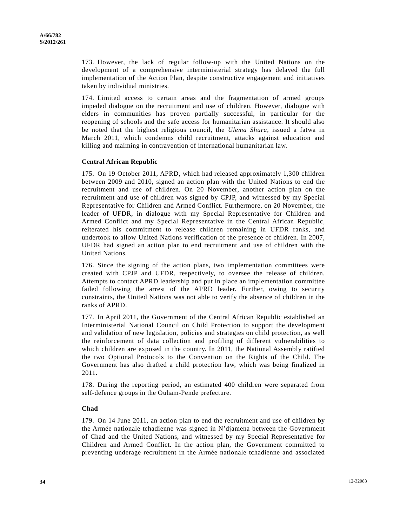173. However, the lack of regular follow-up with the United Nations on the development of a comprehensive interministerial strategy has delayed the full implementation of the Action Plan, despite constructive engagement and initiatives taken by individual ministries.

174. Limited access to certain areas and the fragmentation of armed groups impeded dialogue on the recruitment and use of children. However, dialogue with elders in communities has proven partially successful, in particular for the reopening of schools and the safe access for humanitarian assistance. It should also be noted that the highest religious council, the *Ulema Shura*, issued a fatwa in March 2011, which condemns child recruitment, attacks against education and killing and maiming in contravention of international humanitarian law.

## **Central African Republic**

175. On 19 October 2011, APRD, which had released approximately 1,300 children between 2009 and 2010, signed an action plan with the United Nations to end the recruitment and use of children. On 20 November, another action plan on the recruitment and use of children was signed by CPJP, and witnessed by my Special Representative for Children and Armed Conflict. Furthermore, on 20 November, the leader of UFDR, in dialogue with my Special Representative for Children and Armed Conflict and my Special Representative in the Central African Republic, reiterated his commitment to release children remaining in UFDR ranks, and undertook to allow United Nations verification of the presence of children. In 2007, UFDR had signed an action plan to end recruitment and use of children with the United Nations.

176. Since the signing of the action plans, two implementation committees were created with CPJP and UFDR, respectively, to oversee the release of children. Attempts to contact APRD leadership and put in place an implementation committee failed following the arrest of the APRD leader. Further, owing to security constraints, the United Nations was not able to verify the absence of children in the ranks of APRD.

177. In April 2011, the Government of the Central African Republic established an Interministerial National Council on Child Protection to support the development and validation of new legislation, policies and strategies on child protection, as well the reinforcement of data collection and profiling of different vulnerabilities to which children are exposed in the country. In 2011, the National Assembly ratified the two Optional Protocols to the Convention on the Rights of the Child. The Government has also drafted a child protection law, which was being finalized in 2011.

178. During the reporting period, an estimated 400 children were separated from self-defence groups in the Ouham-Pende prefecture.

## **Chad**

179. On 14 June 2011, an action plan to end the recruitment and use of children by the Armée nationale tchadienne was signed in N'djamena between the Government of Chad and the United Nations, and witnessed by my Special Representative for Children and Armed Conflict. In the action plan, the Government committed to preventing underage recruitment in the Armée nationale tchadienne and associated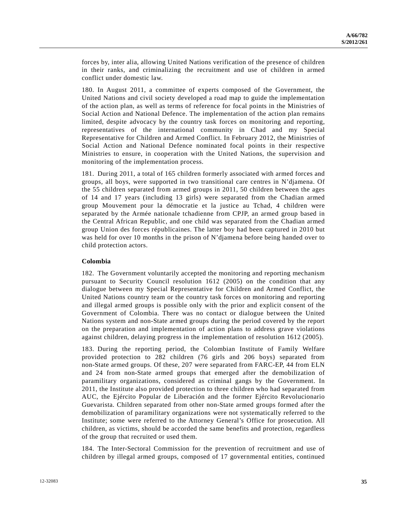forces by, inter alia, allowing United Nations verification of the presence of children in their ranks, and criminalizing the recruitment and use of children in armed conflict under domestic law.

180. In August 2011, a committee of experts composed of the Government, the United Nations and civil society developed a road map to guide the implementation of the action plan, as well as terms of reference for focal points in the Ministries of Social Action and National Defence. The implementation of the action plan remains limited, despite advocacy by the country task forces on monitoring and reporting, representatives of the international community in Chad and my Special Representative for Children and Armed Conflict. In February 2012, the Ministries of Social Action and National Defence nominated focal points in their respective Ministries to ensure, in cooperation with the United Nations, the supervision and monitoring of the implementation process.

181. During 2011, a total of 165 children formerly associated with armed forces and groups, all boys, were supported in two transitional care centres in N'djamena. Of the 55 children separated from armed groups in 2011, 50 children between the ages of 14 and 17 years (including 13 girls) were separated from the Chadian armed group Mouvement pour la démocratie et la justice au Tchad, 4 children were separated by the Armée nationale tchadienne from CPJP, an armed group based in the Central African Republic, and one child was separated from the Chadian armed group Union des forces républicaines. The latter boy had been captured in 2010 but was held for over 10 months in the prison of N'djamena before being handed over to child protection actors.

## **Colombia**

182. The Government voluntarily accepted the monitoring and reporting mechanism pursuant to Security Council resolution 1612 (2005) on the condition that any dialogue between my Special Representative for Children and Armed Conflict, the United Nations country team or the country task forces on monitoring and reporting and illegal armed groups is possible only with the prior and explicit consent of the Government of Colombia. There was no contact or dialogue between the United Nations system and non-State armed groups during the period covered by the report on the preparation and implementation of action plans to address grave violations against children, delaying progress in the implementation of resolution 1612 (2005).

183. During the reporting period, the Colombian Institute of Family Welfare provided protection to 282 children (76 girls and 206 boys) separated from non-State armed groups. Of these, 207 were separated from FARC-EP, 44 from ELN and 24 from non-State armed groups that emerged after the demobilization of paramilitary organizations, considered as criminal gangs by the Government. In 2011, the Institute also provided protection to three children who had separated from AUC, the Ejército Popular de Liberación and the former Ejército Revolucionario Guevarista. Children separated from other non-State armed groups formed after the demobilization of paramilitary organizations were not systematically referred to the Institute; some were referred to the Attorney General's Office for prosecution. All children, as victims, should be accorded the same benefits and protection, regardless of the group that recruited or used them.

184. The Inter-Sectoral Commission for the prevention of recruitment and use of children by illegal armed groups, composed of 17 governmental entities, continued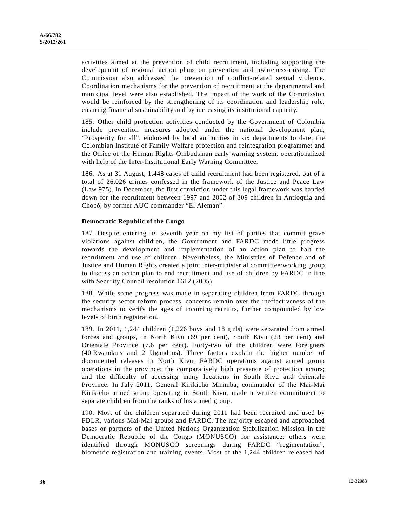activities aimed at the prevention of child recruitment, including supporting the development of regional action plans on prevention and awareness-raising. The Commission also addressed the prevention of conflict-related sexual violence. Coordination mechanisms for the prevention of recruitment at the departmental and municipal level were also established. The impact of the work of the Commission would be reinforced by the strengthening of its coordination and leadership role, ensuring financial sustainability and by increasing its institutional capacity.

185. Other child protection activities conducted by the Government of Colombia include prevention measures adopted under the national development plan, "Prosperity for all", endorsed by local authorities in six departments to date; the Colombian Institute of Family Welfare protection and reintegration programme; and the Office of the Human Rights Ombudsman early warning system, operationalized with help of the Inter-Institutional Early Warning Committee.

186. As at 31 August, 1,448 cases of child recruitment had been registered, out of a total of 26,026 crimes confessed in the framework of the Justice and Peace Law (Law 975). In December, the first conviction under this legal framework was handed down for the recruitment between 1997 and 2002 of 309 children in Antioquia and Chocó, by former AUC commander "El Aleman".

## **Democratic Republic of the Congo**

187. Despite entering its seventh year on my list of parties that commit grave violations against children, the Government and FARDC made little progress towards the development and implementation of an action plan to halt the recruitment and use of children. Nevertheless, the Ministries of Defence and of Justice and Human Rights created a joint inter-ministerial committee/working group to discuss an action plan to end recruitment and use of children by FARDC in line with Security Council resolution 1612 (2005).

188. While some progress was made in separating children from FARDC through the security sector reform process, concerns remain over the ineffectiveness of the mechanisms to verify the ages of incoming recruits, further compounded by low levels of birth registration.

189. In 2011, 1,244 children (1,226 boys and 18 girls) were separated from armed forces and groups, in North Kivu (69 per cent), South Kivu (23 per cent) and Orientale Province (7.6 per cent). Forty-two of the children were foreigners (40 Rwandans and 2 Ugandans). Three factors explain the higher number of documented releases in North Kivu: FARDC operations against armed group operations in the province; the comparatively high presence of protection actors; and the difficulty of accessing many locations in South Kivu and Orientale Province. In July 2011, General Kirikicho Mirimba, commander of the Mai-Mai Kirikicho armed group operating in South Kivu, made a written commitment to separate children from the ranks of his armed group.

190. Most of the children separated during 2011 had been recruited and used by FDLR, various Mai-Mai groups and FARDC. The majority escaped and approached bases or partners of the United Nations Organization Stabilization Mission in the Democratic Republic of the Congo (MONUSCO) for assistance; others were identified through MONUSCO screenings during FARDC "regimentation", biometric registration and training events. Most of the 1,244 children released had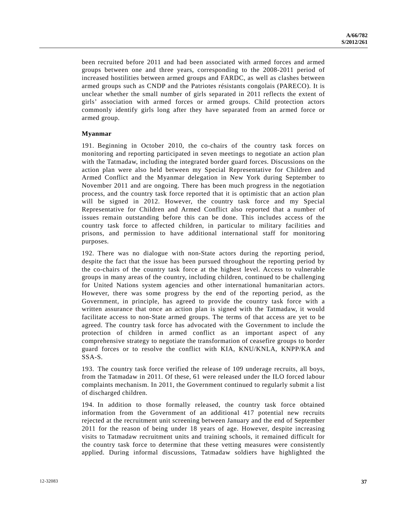been recruited before 2011 and had been associated with armed forces and armed groups between one and three years, corresponding to the 2008-2011 period of increased hostilities between armed groups and FARDC, as well as clashes between armed groups such as CNDP and the Patriotes résistants congolais (PARECO). It is unclear whether the small number of girls separated in 2011 reflects the extent of girls' association with armed forces or armed groups. Child protection actors commonly identify girls long after they have separated from an armed force or armed group.

## **Myanmar**

191. Beginning in October 2010, the co-chairs of the country task forces on monitoring and reporting participated in seven meetings to negotiate an action plan with the Tatmadaw, including the integrated border guard forces. Discussions on the action plan were also held between my Special Representative for Children and Armed Conflict and the Myanmar delegation in New York during September to November 2011 and are ongoing. There has been much progress in the negotiation process, and the country task force reported that it is optimistic that an action plan will be signed in 2012. However, the country task force and my Special Representative for Children and Armed Conflict also reported that a number of issues remain outstanding before this can be done. This includes access of the country task force to affected children, in particular to military facilities and prisons, and permission to have additional international staff for monitoring purposes.

192. There was no dialogue with non-State actors during the reporting period, despite the fact that the issue has been pursued throughout the reporting period by the co-chairs of the country task force at the highest level. Access to vulnerable groups in many areas of the country, including children, continued to be challenging for United Nations system agencies and other international humanitarian actors. However, there was some progress by the end of the reporting period, as the Government, in principle, has agreed to provide the country task force with a written assurance that once an action plan is signed with the Tatmadaw, it would facilitate access to non-State armed groups. The terms of that access are yet to be agreed. The country task force has advocated with the Government to include the protection of children in armed conflict as an important aspect of any comprehensive strategy to negotiate the transformation of ceasefire groups to border guard forces or to resolve the conflict with KIA, KNU/KNLA, KNPP/KA and SSA-S.

193. The country task force verified the release of 109 underage recruits, all boys, from the Tatmadaw in 2011. Of these, 61 were released under the ILO forced labour complaints mechanism. In 2011, the Government continued to regularly submit a list of discharged children.

194. In addition to those formally released, the country task force obtained information from the Government of an additional 417 potential new recruits rejected at the recruitment unit screening between January and the end of September 2011 for the reason of being under 18 years of age. However, despite increasing visits to Tatmadaw recruitment units and training schools, it remained difficult for the country task force to determine that these vetting measures were consistently applied. During informal discussions, Tatmadaw soldiers have highlighted the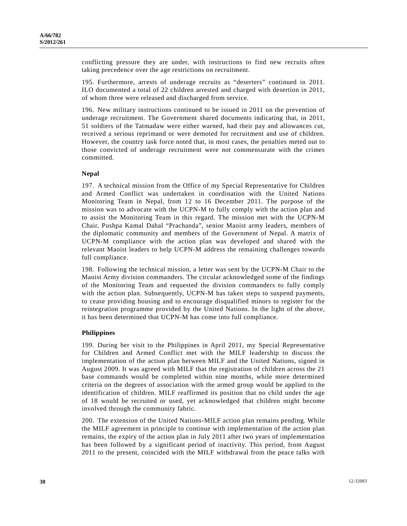conflicting pressure they are under, with instructions to find new recruits often taking precedence over the age restrictions on recruitment.

195. Furthermore, arrests of underage recruits as "deserters" continued in 2011. ILO documented a total of 22 children arrested and charged with desertion in 2011, of whom three were released and discharged from service.

196. New military instructions continued to be issued in 2011 on the prevention of underage recruitment. The Government shared documents indicating that, in 2011, 51 soldiers of the Tatmadaw were either warned, had their pay and allowances cut, received a serious reprimand or were demoted for recruitment and use of children. However, the country task force noted that, in most cases, the penalties meted out to those convicted of underage recruitment were not commensurate with the crimes committed.

#### **Nepal**

197. A technical mission from the Office of my Special Representative for Children and Armed Conflict was undertaken in coordination with the United Nations Monitoring Team in Nepal, from 12 to 16 December 2011. The purpose of the mission was to advocate with the UCPN-M to fully comply with the action plan and to assist the Monitoring Team in this regard. The mission met with the UCPN-M Chair, Pushpa Kamal Dahal "Prachanda", senior Maoist army leaders, members of the diplomatic community and members of the Government of Nepal. A matrix of UCPN-M compliance with the action plan was developed and shared with the relevant Maoist leaders to help UCPN-M address the remaining challenges towards full compliance.

198. Following the technical mission, a letter was sent by the UCPN-M Chair to the Maoist Army division commanders. The circular acknowledged some of the findings of the Monitoring Team and requested the division commanders to fully comply with the action plan. Subsequently, UCPN-M has taken steps to suspend payments, to cease providing housing and to encourage disqualified minors to register for the reintegration programme provided by the United Nations. In the light of the above, it has been determined that UCPN-M has come into full compliance.

#### **Philippines**

199. During her visit to the Philippines in April 2011, my Special Representative for Children and Armed Conflict met with the MILF leadership to discuss the implementation of the action plan between MILF and the United Nations, signed in August 2009. It was agreed with MILF that the registration of children across the 21 base commands would be completed within nine months, while more determined criteria on the degrees of association with the armed group would be applied to the identification of children. MILF reaffirmed its position that no child under the age of 18 would be recruited or used, yet acknowledged that children might become involved through the community fabric.

200. The extension of the United Nations-MILF action plan remains pending. While the MILF agreement in principle to continue with implementation of the action plan remains, the expiry of the action plan in July 2011 after two years of implementation has been followed by a significant period of inactivity. This period, from August 2011 to the present, coincided with the MILF withdrawal from the peace talks with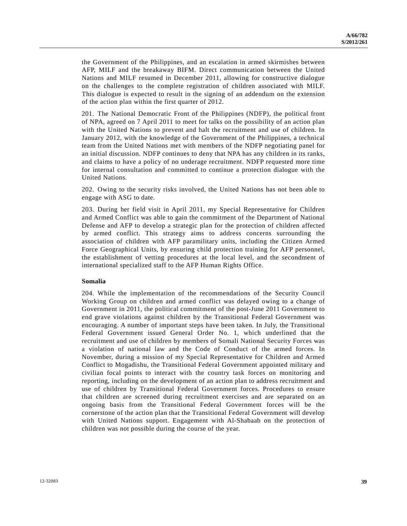the Government of the Philippines, and an escalation in armed skirmishes between AFP, MILF and the breakaway BIFM. Direct communication between the United Nations and MILF resumed in December 2011, allowing for constructive dialogue on the challenges to the complete registration of children associated with MILF. This dialogue is expected to result in the signing of an addendum on the extension of the action plan within the first quarter of 2012.

201. The National Democratic Front of the Philippines (NDFP), the political front of NPA, agreed on 7 April 2011 to meet for talks on the possibility of an action plan with the United Nations to prevent and halt the recruitment and use of children. In January 2012, with the knowledge of the Government of the Philippines, a technical team from the United Nations met with members of the NDFP negotiating panel for an initial discussion. NDFP continues to deny that NPA has any children in its ranks, and claims to have a policy of no underage recruitment. NDFP requested more time for internal consultation and committed to continue a protection dialogue with the United Nations.

202. Owing to the security risks involved, the United Nations has not been able to engage with ASG to date.

203. During her field visit in April 2011, my Special Representative for Children and Armed Conflict was able to gain the commitment of the Department of National Defense and AFP to develop a strategic plan for the protection of children affected by armed conflict. This strategy aims to address concerns surrounding the association of children with AFP paramilitary units, including the Citizen Armed Force Geographical Units, by ensuring child protection training for AFP personnel, the establishment of vetting procedures at the local level, and the secondment of international specialized staff to the AFP Human Rights Office.

#### **Somalia**

204. While the implementation of the recommendations of the Security Council Working Group on children and armed conflict was delayed owing to a change of Government in 2011, the political commitment of the post-June 2011 Government to end grave violations against children by the Transitional Federal Government was encouraging. A number of important steps have been taken. In July, the Transitional Federal Government issued General Order No. 1, which underlined that the recruitment and use of children by members of Somali National Security Forces was a violation of national law and the Code of Conduct of the armed forces. In November, during a mission of my Special Representative for Children and Armed Conflict to Mogadishu, the Transitional Federal Government appointed military and civilian focal points to interact with the country task forces on monitoring and reporting, including on the development of an action plan to address recruitment and use of children by Transitional Federal Government forces. Procedures to ensure that children are screened during recruitment exercises and are separated on an ongoing basis from the Transitional Federal Government forces will be the cornerstone of the action plan that the Transitional Federal Government will develop with United Nations support. Engagement with Al-Shabaab on the protection of children was not possible during the course of the year.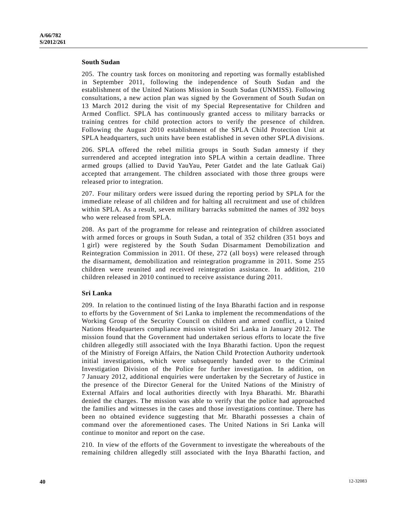#### **South Sudan**

205. The country task forces on monitoring and reporting was formally established in September 2011, following the independence of South Sudan and the establishment of the United Nations Mission in South Sudan (UNMISS). Following consultations, a new action plan was signed by the Government of South Sudan on 13 March 2012 during the visit of my Special Representative for Children and Armed Conflict. SPLA has continuously granted access to military barracks or training centres for child protection actors to verify the presence of children. Following the August 2010 establishment of the SPLA Child Protection Unit at SPLA headquarters, such units have been established in seven other SPLA divisions.

206. SPLA offered the rebel militia groups in South Sudan amnesty if they surrendered and accepted integration into SPLA within a certain deadline. Three armed groups (allied to David YauYau, Peter Gatdet and the late Gatluak Gai) accepted that arrangement. The children associated with those three groups were released prior to integration.

207. Four military orders were issued during the reporting period by SPLA for the immediate release of all children and for halting all recruitment and use of children within SPLA. As a result, seven military barracks submitted the names of 392 boys who were released from SPLA.

208. As part of the programme for release and reintegration of children associated with armed forces or groups in South Sudan, a total of 352 children (351 boys and 1 girl) were registered by the South Sudan Disarmament Demobilization and Reintegration Commission in 2011. Of these, 272 (all boys) were released through the disarmament, demobilization and reintegration programme in 2011. Some 255 children were reunited and received reintegration assistance. In addition, 210 children released in 2010 continued to receive assistance during 2011.

#### **Sri Lanka**

209. In relation to the continued listing of the Inya Bharathi faction and in response to efforts by the Government of Sri Lanka to implement the recommendations of the Working Group of the Security Council on children and armed conflict, a United Nations Headquarters compliance mission visited Sri Lanka in January 2012. The mission found that the Government had undertaken serious efforts to locate the five children allegedly still associated with the Inya Bharathi faction. Upon the request of the Ministry of Foreign Affairs, the Nation Child Protection Authority undertook initial investigations, which were subsequently handed over to the Criminal Investigation Division of the Police for further investigation. In addition, on 7 January 2012, additional enquiries were undertaken by the Secretary of Justice in the presence of the Director General for the United Nations of the Ministry of External Affairs and local authorities directly with Inya Bharathi. Mr. Bharathi denied the charges. The mission was able to verify that the police had approached the families and witnesses in the cases and those investigations continue. There has been no obtained evidence suggesting that Mr. Bharathi possesses a chain of command over the aforementioned cases. The United Nations in Sri Lanka will continue to monitor and report on the case.

210. In view of the efforts of the Government to investigate the whereabouts of the remaining children allegedly still associated with the Inya Bharathi faction, and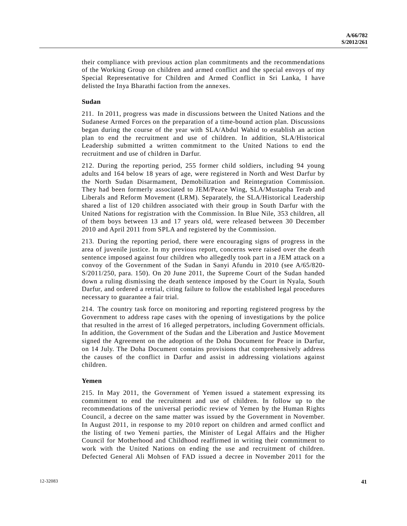their compliance with previous action plan commitments and the recommendations of the Working Group on children and armed conflict and the special envoys of my Special Representative for Children and Armed Conflict in Sri Lanka, I have delisted the Inya Bharathi faction from the annexes.

#### **Sudan**

211. In 2011, progress was made in discussions between the United Nations and the Sudanese Armed Forces on the preparation of a time-bound action plan. Discussions began during the course of the year with SLA/Abdul Wahid to establish an action plan to end the recruitment and use of children. In addition, SLA/Historical Leadership submitted a written commitment to the United Nations to end the recruitment and use of children in Darfur.

212. During the reporting period, 255 former child soldiers, including 94 young adults and 164 below 18 years of age, were registered in North and West Darfur by the North Sudan Disarmament, Demobilization and Reintegration Commission. They had been formerly associated to JEM/Peace Wing, SLA/Mustapha Terab and Liberals and Reform Movement (LRM). Separately, the SLA/Historical Leadership shared a list of 120 children associated with their group in South Darfur with the United Nations for registration with the Commission. In Blue Nile, 353 children, all of them boys between 13 and 17 years old, were released between 30 December 2010 and April 2011 from SPLA and registered by the Commission.

213. During the reporting period, there were encouraging signs of progress in the area of juvenile justice. In my previous report, concerns were raised over the death sentence imposed against four children who allegedly took part in a JEM attack on a convoy of the Government of the Sudan in Sanyi Afundu in 2010 (see A/65/820- S/2011/250, para. 150). On 20 June 2011, the Supreme Court of the Sudan handed down a ruling dismissing the death sentence imposed by the Court in Nyala, South Darfur, and ordered a retrial, citing failure to follow the established legal procedures necessary to guarantee a fair trial.

214. The country task force on monitoring and reporting registered progress by the Government to address rape cases with the opening of investigations by the police that resulted in the arrest of 16 alleged perpetrators, including Government officials. In addition, the Government of the Sudan and the Liberation and Justice Movement signed the Agreement on the adoption of the Doha Document for Peace in Darfur, on 14 July. The Doha Document contains provisions that comprehensively address the causes of the conflict in Darfur and assist in addressing violations against children.

#### **Yemen**

215. In May 2011, the Government of Yemen issued a statement expressing its commitment to end the recruitment and use of children. In follow up to the recommendations of the universal periodic review of Yemen by the Human Rights Council, a decree on the same matter was issued by the Government in November. In August 2011, in response to my 2010 report on children and armed conflict and the listing of two Yemeni parties, the Minister of Legal Affairs and the Higher Council for Motherhood and Childhood reaffirmed in writing their commitment to work with the United Nations on ending the use and recruitment of children. Defected General Ali Mohsen of FAD issued a decree in November 2011 for the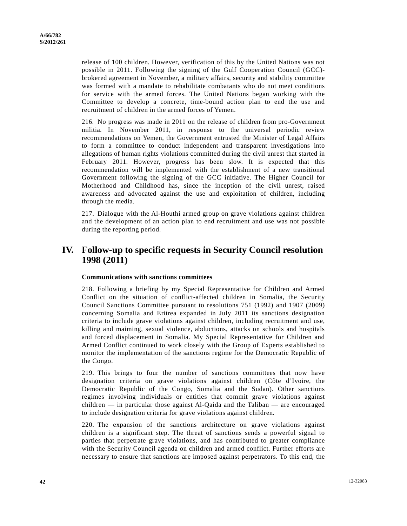release of 100 children. However, verification of this by the United Nations was not possible in 2011. Following the signing of the Gulf Cooperation Council (GCC) brokered agreement in November, a military affairs, security and stability committee was formed with a mandate to rehabilitate combatants who do not meet conditions for service with the armed forces. The United Nations began working with the Committee to develop a concrete, time-bound action plan to end the use and recruitment of children in the armed forces of Yemen.

216. No progress was made in 2011 on the release of children from pro-Government militia. In November 2011, in response to the universal periodic review recommendations on Yemen, the Government entrusted the Minister of Legal Affairs to form a committee to conduct independent and transparent investigations into allegations of human rights violations committed during the civil unrest that started in February 2011. However, progress has been slow. It is expected that this recommendation will be implemented with the establishment of a new transitional Government following the signing of the GCC initiative. The Higher Council for Motherhood and Childhood has, since the inception of the civil unrest, raised awareness and advocated against the use and exploitation of children, including through the media.

217. Dialogue with the Al-Houthi armed group on grave violations against children and the development of an action plan to end recruitment and use was not possible during the reporting period.

## **IV. Follow-up to specific requests in Security Council resolution 1998 (2011)**

## **Communications with sanctions committees**

218. Following a briefing by my Special Representative for Children and Armed Conflict on the situation of conflict-affected children in Somalia, the Security Council Sanctions Committee pursuant to resolutions 751 (1992) and 1907 (2009) concerning Somalia and Eritrea expanded in July 2011 its sanctions designation criteria to include grave violations against children, including recruitment and use, killing and maiming, sexual violence, abductions, attacks on schools and hospitals and forced displacement in Somalia. My Special Representative for Children and Armed Conflict continued to work closely with the Group of Experts established to monitor the implementation of the sanctions regime for the Democratic Republic of the Congo.

219. This brings to four the number of sanctions committees that now have designation criteria on grave violations against children (Côte d'Ivoire, the Democratic Republic of the Congo, Somalia and the Sudan). Other sanctions regimes involving individuals or entities that commit grave violations against children — in particular those against Al-Qaida and the Taliban — are encouraged to include designation criteria for grave violations against children.

220. The expansion of the sanctions architecture on grave violations against children is a significant step. The threat of sanctions sends a powerful signal to parties that perpetrate grave violations, and has contributed to greater compliance with the Security Council agenda on children and armed conflict. Further efforts are necessary to ensure that sanctions are imposed against perpetrators. To this end, the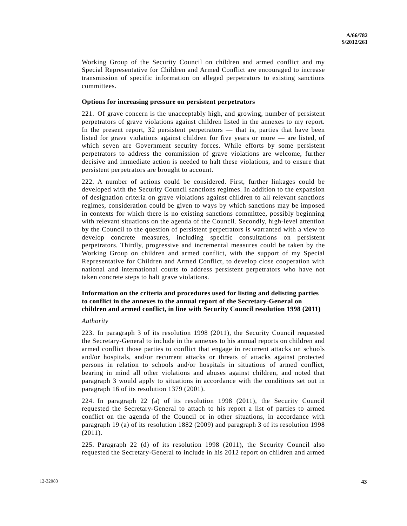Working Group of the Security Council on children and armed conflict and my Special Representative for Children and Armed Conflict are encouraged to increase transmission of specific information on alleged perpetrators to existing sanctions committees.

#### **Options for increasing pressure on persistent perpetrators**

221. Of grave concern is the unacceptably high, and growing, number of persistent perpetrators of grave violations against children listed in the annexes to my report. In the present report, 32 persistent perpetrators — that is, parties that have been listed for grave violations against children for five years or more — are listed, of which seven are Government security forces. While efforts by some persistent perpetrators to address the commission of grave violations are welcome, further decisive and immediate action is needed to halt these violations, and to ensure that persistent perpetrators are brought to account.

222. A number of actions could be considered. First, further linkages could be developed with the Security Council sanctions regimes. In addition to the expansion of designation criteria on grave violations against children to all relevant sanctions regimes, consideration could be given to ways by which sanctions may be imposed in contexts for which there is no existing sanctions committee, possibly beginning with relevant situations on the agenda of the Council. Secondly, high-level attention by the Council to the question of persistent perpetrators is warranted with a view to develop concrete measures, including specific consultations on persistent perpetrators. Thirdly, progressive and incremental measures could be taken by the Working Group on children and armed conflict, with the support of my Special Representative for Children and Armed Conflict, to develop close cooperation with national and international courts to address persistent perpetrators who have not taken concrete steps to halt grave violations.

## **Information on the criteria and procedures used for listing and delisting parties to conflict in the annexes to the annual report of the Secretary-General on children and armed conflict, in line with Security Council resolution 1998 (2011)**

#### *Authority*

223. In paragraph 3 of its resolution 1998 (2011), the Security Council requested the Secretary-General to include in the annexes to his annual reports on children and armed conflict those parties to conflict that engage in recurrent attacks on schools and/or hospitals, and/or recurrent attacks or threats of attacks against protected persons in relation to schools and/or hospitals in situations of armed conflict, bearing in mind all other violations and abuses against children, and noted that paragraph 3 would apply to situations in accordance with the conditions set out in paragraph 16 of its resolution 1379 (2001).

224. In paragraph 22 (a) of its resolution 1998 (2011), the Security Council requested the Secretary-General to attach to his report a list of parties to armed conflict on the agenda of the Council or in other situations, in accordance with paragraph 19 (a) of its resolution 1882 (2009) and paragraph 3 of its resolution 1998 (2011).

225. Paragraph 22 (d) of its resolution 1998 (2011), the Security Council also requested the Secretary-General to include in his 2012 report on children and armed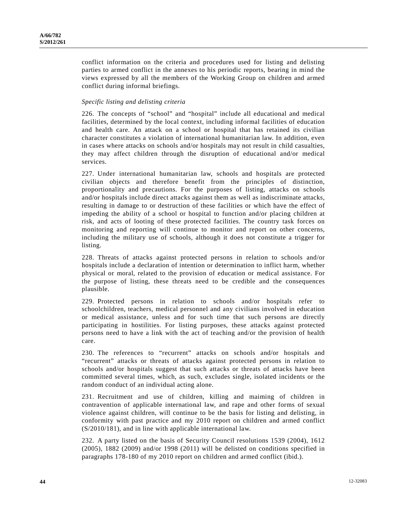conflict information on the criteria and procedures used for listing and delisting parties to armed conflict in the annexes to his periodic reports, bearing in mind the views expressed by all the members of the Working Group on children and armed conflict during informal briefings.

## *Specific listing and delisting criteria*

226. The concepts of "school" and "hospital" include all educational and medical facilities, determined by the local context, including informal facilities of education and health care. An attack on a school or hospital that has retained its civilian character constitutes a violation of international humanitarian law. In addition, even in cases where attacks on schools and/or hospitals may not result in child casualties, they may affect children through the disruption of educational and/or medical services.

227. Under international humanitarian law, schools and hospitals are protected civilian objects and therefore benefit from the principles of distinction, proportionality and precautions. For the purposes of listing, attacks on schools and/or hospitals include direct attacks against them as well as indiscriminate attacks, resulting in damage to or destruction of these facilities or which have the effect of impeding the ability of a school or hospital to function and/or placing children at risk, and acts of looting of these protected facilities. The country task forces on monitoring and reporting will continue to monitor and report on other concerns, including the military use of schools, although it does not constitute a trigger for listing.

228. Threats of attacks against protected persons in relation to schools and/or hospitals include a declaration of intention or determination to inflict harm, whether physical or moral, related to the provision of education or medical assistance. For the purpose of listing, these threats need to be credible and the consequences plausible.

229. Protected persons in relation to schools and/or hospitals refer to schoolchildren, teachers, medical personnel and any civilians involved in education or medical assistance, unless and for such time that such persons are directly participating in hostilities. For listing purposes, these attacks against protected persons need to have a link with the act of teaching and/or the provision of health care.

230. The references to "recurrent" attacks on schools and/or hospitals and "recurrent" attacks or threats of attacks against protected persons in relation to schools and/or hospitals suggest that such attacks or threats of attacks have been committed several times, which, as such, excludes single, isolated incidents or the random conduct of an individual acting alone.

231. Recruitment and use of children, killing and maiming of children in contravention of applicable international law, and rape and other forms of sexual violence against children, will continue to be the basis for listing and delisting, in conformity with past practice and my 2010 report on children and armed conflict (S/2010/181), and in line with applicable international law.

232. A party listed on the basis of Security Council resolutions 1539 (2004), 1612 (2005), 1882 (2009) and/or 1998 (2011) will be delisted on conditions specified in paragraphs 178-180 of my 2010 report on children and armed conflict (ibid.).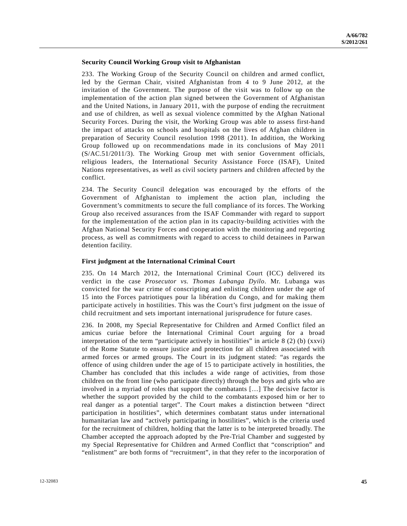#### **Security Council Working Group visit to Afghanistan**

233. The Working Group of the Security Council on children and armed conflict, led by the German Chair, visited Afghanistan from 4 to 9 June 2012, at the invitation of the Government. The purpose of the visit was to follow up on the implementation of the action plan signed between the Government of Afghanistan and the United Nations, in January 2011, with the purpose of ending the recruitment and use of children, as well as sexual violence committed by the Afghan National Security Forces. During the visit, the Working Group was able to assess first-hand the impact of attacks on schools and hospitals on the lives of Afghan children in preparation of Security Council resolution 1998 (2011). In addition, the Working Group followed up on recommendations made in its conclusions of May 2011 (S/AC.51/2011/3). The Working Group met with senior Government officials, religious leaders, the International Security Assistance Force (ISAF), United Nations representatives, as well as civil society partners and children affected by the conflict.

234. The Security Council delegation was encouraged by the efforts of the Government of Afghanistan to implement the action plan, including the Government's commitments to secure the full compliance of its forces. The Working Group also received assurances from the ISAF Commander with regard to support for the implementation of the action plan in its capacity-building activities with the Afghan National Security Forces and cooperation with the monitoring and reporting process, as well as commitments with regard to access to child detainees in Parwan detention facility.

## **First judgment at the International Criminal Court**

235. On 14 March 2012, the International Criminal Court (ICC) delivered its verdict in the case *Prosecutor vs. Thomas Lubanga Dyilo*. Mr. Lubanga was convicted for the war crime of conscripting and enlisting children under the age of 15 into the Forces patriotiques pour la libération du Congo, and for making them participate actively in hostilities. This was the Court's first judgment on the issue of child recruitment and sets important international jurisprudence for future cases.

236. In 2008, my Special Representative for Children and Armed Conflict filed an amicus curiae before the International Criminal Court arguing for a broad interpretation of the term "participate actively in hostilities" in article  $8(2)$  (b) (xxvi) of the Rome Statute to ensure justice and protection for all children associated with armed forces or armed groups. The Court in its judgment stated: "as regards the offence of using children under the age of 15 to participate actively in hostilities, the Chamber has concluded that this includes a wide range of activities, from those children on the front line (who participate directly) through the boys and girls who are involved in a myriad of roles that support the combatants […] The decisive factor is whether the support provided by the child to the combatants exposed him or her to real danger as a potential target". The Court makes a distinction between "direct participation in hostilities", which determines combatant status under international humanitarian law and "actively participating in hostilities", which is the criteria used for the recruitment of children, holding that the latter is to be interpreted broadly. The Chamber accepted the approach adopted by the Pre-Trial Chamber and suggested by my Special Representative for Children and Armed Conflict that "conscription" and "enlistment" are both forms of "recruitment", in that they refer to the incorporation of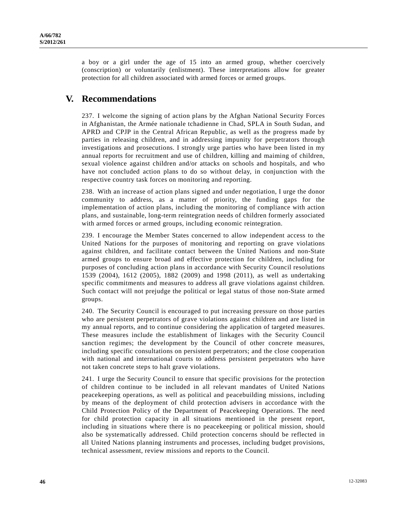a boy or a girl under the age of 15 into an armed group, whether coercively (conscription) or voluntarily (enlistment). These interpretations allow for greater protection for all children associated with armed forces or armed groups.

## **V. Recommendations**

237. I welcome the signing of action plans by the Afghan National Security Forces in Afghanistan, the Armée nationale tchadienne in Chad, SPLA in South Sudan, and APRD and CPJP in the Central African Republic, as well as the progress made by parties in releasing children, and in addressing impunity for perpetrators through investigations and prosecutions. I strongly urge parties who have been listed in my annual reports for recruitment and use of children, killing and maiming of children, sexual violence against children and/or attacks on schools and hospitals, and who have not concluded action plans to do so without delay, in conjunction with the respective country task forces on monitoring and reporting.

238. With an increase of action plans signed and under negotiation, I urge the donor community to address, as a matter of priority, the funding gaps for the implementation of action plans, including the monitoring of compliance with action plans, and sustainable, long-term reintegration needs of children formerly associated with armed forces or armed groups, including economic reintegration.

239. I encourage the Member States concerned to allow independent access to the United Nations for the purposes of monitoring and reporting on grave violations against children, and facilitate contact between the United Nations and non-State armed groups to ensure broad and effective protection for children, including for purposes of concluding action plans in accordance with Security Council resolutions 1539 (2004), 1612 (2005), 1882 (2009) and 1998 (2011), as well as undertaking specific commitments and measures to address all grave violations against children. Such contact will not prejudge the political or legal status of those non-State armed groups.

240. The Security Council is encouraged to put increasing pressure on those parties who are persistent perpetrators of grave violations against children and are listed in my annual reports, and to continue considering the application of targeted measures. These measures include the establishment of linkages with the Security Council sanction regimes; the development by the Council of other concrete measures, including specific consultations on persistent perpetrators; and the close cooperation with national and international courts to address persistent perpetrators who have not taken concrete steps to halt grave violations.

241. I urge the Security Council to ensure that specific provisions for the protection of children continue to be included in all relevant mandates of United Nations peacekeeping operations, as well as political and peacebuilding missions, including by means of the deployment of child protection advisers in accordance with the Child Protection Policy of the Department of Peacekeeping Operations. The need for child protection capacity in all situations mentioned in the present report, including in situations where there is no peacekeeping or political mission, should also be systematically addressed. Child protection concerns should be reflected in all United Nations planning instruments and processes, including budget provisions, technical assessment, review missions and reports to the Council.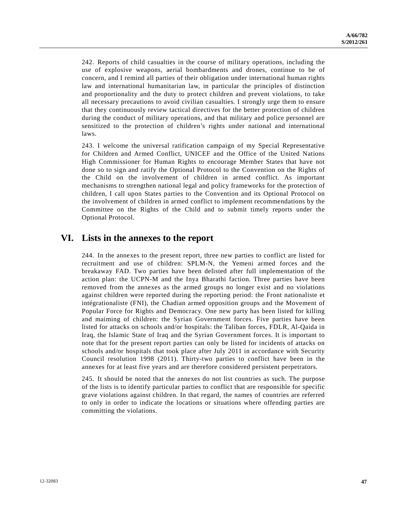242. Reports of child casualties in the course of military operations, including the use of explosive weapons, aerial bombardments and drones, continue to be of concern, and I remind all parties of their obligation under international human rights law and international humanitarian law, in particular the principles of distinction and proportionality and the duty to protect children and prevent violations, to take all necessary precautions to avoid civilian casualties. I strongly urge them to ensure that they continuously review tactical directives for the better protection of children during the conduct of military operations, and that military and police personnel are sensitized to the protection of children's rights under national and international laws.

243. I welcome the universal ratification campaign of my Special Representative for Children and Armed Conflict, UNICEF and the Office of the United Nations High Commissioner for Human Rights to encourage Member States that have not done so to sign and ratify the Optional Protocol to the Convention on the Rights of the Child on the involvement of children in armed conflict. As important mechanisms to strengthen national legal and policy frameworks for the protection of children, I call upon States parties to the Convention and its Optional Protocol on the involvement of children in armed conflict to implement recommendations by the Committee on the Rights of the Child and to submit timely reports under the Optional Protocol.

## **VI. Lists in the annexes to the report**

244. In the annexes to the present report, three new parties to conflict are listed for recruitment and use of children: SPLM-N, the Yemeni armed forces and the breakaway FAD. Two parties have been delisted after full implementation of the action plan: the UCPN-M and the Inya Bharathi faction. Three parties have been removed from the annexes as the armed groups no longer exist and no violations against children were reported during the reporting period: the Front nationaliste et intégrationaliste (FNI), the Chadian armed opposition groups and the Movement of Popular Force for Rights and Democracy. One new party has been listed for killing and maiming of children: the Syrian Government forces. Five parties have been listed for attacks on schools and/or hospitals: the Taliban forces, FDLR, Al-Qaida in Iraq, the Islamic State of Iraq and the Syrian Government forces. It is important to note that for the present report parties can only be listed for incidents of attacks on schools and/or hospitals that took place after July 2011 in accordance with Security Council resolution 1998 (2011). Thirty-two parties to conflict have been in the annexes for at least five years and are therefore considered persistent perpetrators.

245. It should be noted that the annexes do not list countries as such. The purpose of the lists is to identify particular parties to conflict that are responsible for specific grave violations against children. In that regard, the names of countries are referred to only in order to indicate the locations or situations where offending parties are committing the violations.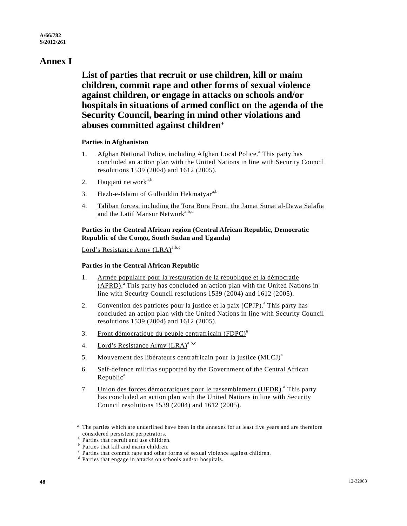# **Annex I**

 **List of parties that recruit or use children, kill or maim children, commit rape and other forms of sexual violence against children, or engage in attacks on schools and/or hospitals in situations of armed conflict on the agenda of the Security Council, bearing in mind other violations and abuses committed against children**\*

## **Parties in Afghanistan**

- 1. Afghan National Police, including Afghan Local Police.<sup>a</sup> This party has concluded an action plan with the United Nations in line with Security Council resolutions 1539 (2004) and 1612 (2005).
- 2. Haqqani network<sup>a,b</sup>
- 3. Hezb-e-Islami of Gulbuddin Hekmatyar<sup>a,b</sup>
- 4. Taliban forces, including the Tora Bora Front, the Jamat Sunat al-Dawa Salafia and the Latif Mansur Network<sup>a,b,d</sup>

## **Parties in the Central African region (Central African Republic, Democratic Republic of the Congo, South Sudan and Uganda)**

Lord's Resistance Army  $(LRA)^{a,b,c}$ 

## **Parties in the Central African Republic**

- 1. Armée populaire pour la restauration de la république et la démocratie (APRD).<sup>a</sup> This party has concluded an action plan with the United Nations in line with Security Council resolutions 1539 (2004) and 1612 (2005).
- 2. Convention des patriotes pour la justice et la paix  $(CPJP)$ .<sup>a</sup> This party has concluded an action plan with the United Nations in line with Security Council resolutions 1539 (2004) and 1612 (2005).
- 3. Front démocratique du peuple centrafricain (FDPC)<sup>a</sup>
- 4. Lord's Resistance Army (LRA)<sup>a,b,c</sup>
- 5. Mouvement des libérateurs centrafricain pour la justice (MLCJ)<sup>a</sup>
- 6. Self-defence militias supported by the Government of the Central African  $Republic<sup>a</sup>$
- 7. Union des forces démocratiques pour le rassemblement (UFDR).<sup>a</sup> This party has concluded an action plan with the United Nations in line with Security Council resolutions 1539 (2004) and 1612 (2005).

 <sup>\*</sup> The parties which are underlined have been in the annexes for at least five years and are therefore considered persistent perpetrators.

<sup>&</sup>lt;sup>a</sup> Parties that recruit and use children.

<sup>&</sup>lt;sup>b</sup> Parties that kill and maim children.

<sup>&</sup>lt;sup>c</sup> Parties that commit rape and other forms of sexual violence against children.

d Parties that engage in attacks on schools and/or hospitals.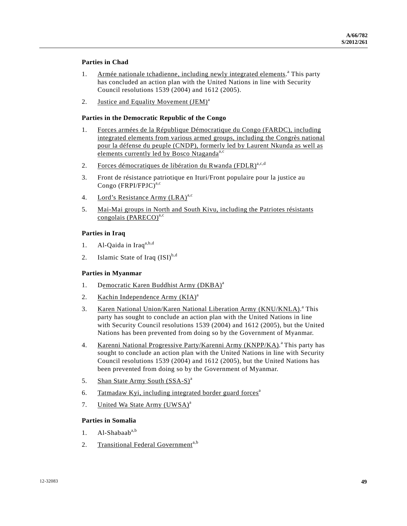## **Parties in Chad**

- 1. Armée nationale tchadienne, including newly integrated elements.<sup>a</sup> This party has concluded an action plan with the United Nations in line with Security Council resolutions 1539 (2004) and 1612 (2005).
- 2. Justice and Equality Movement (JEM)<sup>a</sup>

## **Parties in the Democratic Republic of the Congo**

- 1. Forces armées de la République Démocratique du Congo (FARDC), including integrated elements from various armed groups, including the Congrès national pour la défense du peuple (CNDP), formerly led by Laurent Nkunda as well as elements currently led by Bosco Ntaganda<sup>a,c</sup>
- 2. Forces démocratiques de libération du Rwanda (FDLR)<sup>a,c,d</sup>
- 3. Front de résistance patriotique en Ituri/Front populaire pour la justice au Congo  $(FRPI/FPJC)^{a,c}$
- 4. Lord's Resistance Army  $(LRA)^{a,c}$
- 5. Mai-Mai groups in North and South Kivu, including the Patriotes résistants congolais (PARECO)<sup>a,c</sup>

## **Parties in Iraq**

- 1. Al-Qaida in Iraq $a,b,d$
- 2. Islamic State of Iraq  $(ISI)^{b,d}$

#### **Parties in Myanmar**

- 1. Democratic Karen Buddhist Army (DKBA)<sup>a</sup>
- 2. Kachin Independence Army  $(KIA)^a$
- 3. Karen National Union/Karen National Liberation Army (KNU/KNLA).<sup>a</sup> This party has sought to conclude an action plan with the United Nations in line with Security Council resolutions 1539 (2004) and 1612 (2005), but the United Nations has been prevented from doing so by the Government of Myanmar.
- 4. Karenni National Progressive Party/Karenni Army (KNPP/KA).<sup>a</sup> This party has sought to conclude an action plan with the United Nations in line with Security Council resolutions 1539 (2004) and 1612 (2005), but the United Nations has been prevented from doing so by the Government of Myanmar.
- 5. Shan State Army South (SSA-S)<sup>a</sup>
- 6. Tatmadaw Kyi, including integrated border guard forces<sup>a</sup>
- 7. United Wa State Army (UWSA)<sup>a</sup>

#### **Parties in Somalia**

- 1. Al-Shabaab<sup>a,b</sup>
- 2. Transitional Federal Government<sup>a,b</sup>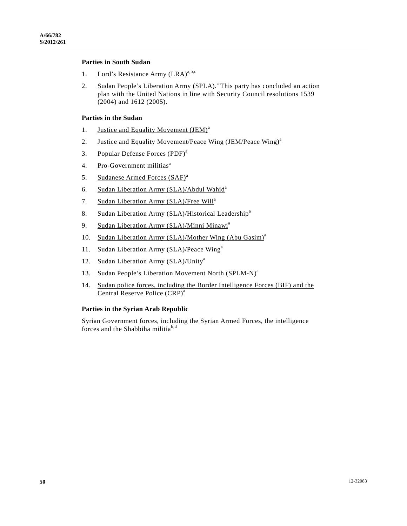## **Parties in South Sudan**

- 1. Lord's Resistance Army  $(LRA)^{a,b,c}$
- 2. Sudan People's Liberation Army (SPLA).<sup>a</sup> This party has concluded an action plan with the United Nations in line with Security Council resolutions 1539 (2004) and 1612 (2005).

#### **Parties in the Sudan**

- 1. Justice and Equality Movement (JEM)<sup>a</sup>
- 2. Justice and Equality Movement/Peace Wing (JEM/Peace Wing)<sup>a</sup>
- 3. Popular Defense Forces (PDF)<sup>a</sup>
- 4. Pro-Government militias<sup>a</sup>
- 5. Sudanese Armed Forces (SAF)<sup>a</sup>
- 6. Sudan Liberation Army (SLA)/Abdul Wahid<sup>a</sup>
- 7. Sudan Liberation Army (SLA)/Free Will<sup>a</sup>
- 8. Sudan Liberation Army (SLA)/Historical Leadership<sup>a</sup>
- 9. Sudan Liberation Army (SLA)/Minni Minawi<sup>a</sup>
- 10. Sudan Liberation Army (SLA)/Mother Wing (Abu Gasim)<sup>a</sup>
- 11. Sudan Liberation Army (SLA)/Peace Wing<sup>a</sup>
- 12. Sudan Liberation Army (SLA)/Unity<sup>a</sup>
- 13. Sudan People's Liberation Movement North (SPLM-N)<sup>a</sup>
- 14. Sudan police forces, including the Border Intelligence Forces (BIF) and the Central Reserve Police (CRP)<sup>a</sup>

#### **Parties in the Syrian Arab Republic**

Syrian Government forces, including the Syrian Armed Forces, the intelligence forces and the Shabbiha militia<sup>b,d</sup>